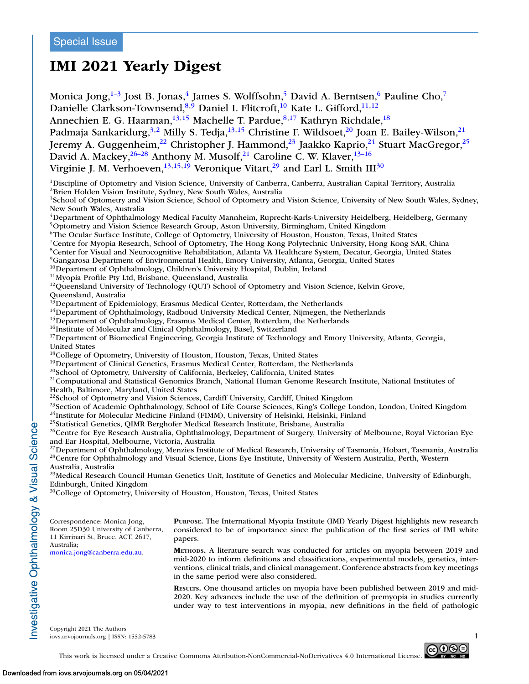# **IMI 2021 Yearly Digest**

Monica Jong, $1-3$  Jost B. Jonas, $4$  James S. Wolffsohn, $5$  David A. Berntsen, $6$  Pauline Cho, $7$ Danielle Clarkson-Townsend,  $8,9$  Daniel I. Flitcroft,  $10$  Kate L. Gifford,  $11,12$ Annechien E. G. Haarman,<sup>13,15</sup> Machelle T. Pardue,<sup>8,17</sup> Kathryn Richdale,<sup>18</sup> Padmaja Sankaridurg,<sup>3,2</sup> Milly S. Tedja,<sup>13,15</sup> Christine F. Wildsoet,<sup>20</sup> Joan E. Bailey-Wilson,<sup>21</sup> Jeremy A. Guggenheim,<sup>22</sup> Christopher J. Hammond,<sup>23</sup> Jaakko Kaprio,<sup>24</sup> Stuart MacGregor,<sup>25</sup> David A. Mackey,  $26-28$  Anthony M. Musolf,  $21$  Caroline C. W. Klaver,  $13-16$ Virginie J. M. Verhoeven,  $^{13,15,19}$  Veronique Vitart,  $^{29}$  and Earl L. Smith III<sup>30</sup> 1Discipline of Optometry and Vision Science, University of Canberra, Canberra, Australian Capital Territory, Australia 2Brien Holden Vision Institute, Sydney, New South Wales, Australia <sup>3</sup>School of Optometry and Vision Science, School of Optometry and Vision Science, University of New South Wales, Sydney, New South Wales, Australia <sup>4</sup>Department of Ophthalmology Medical Faculty Mannheim, Ruprecht-Karls-University Heidelberg, Heidelberg, Germany 5Optometry and Vision Science Research Group, Aston University, Birmingham, United Kingdom 6The Ocular Surface Institute, College of Optometry, University of Houston, Houston, Texas, United States 7Centre for Myopia Research, School of Optometry, The Hong Kong Polytechnic University, Hong Kong SAR, China 8Center for Visual and Neurocognitive Rehabilitation, Atlanta VA Healthcare System, Decatur, Georgia, United States <sup>9</sup>Gangarosa Department of Environmental Health, Emory University, Atlanta, Georgia, United States<br><sup>10</sup>Department of Ophthalmology, Children's University Hospital, Dublin, Ireland <sup>11</sup>Myopia Profile Pty Ltd, Brisbane, Queensland, Australia<br><sup>12</sup>Queensland University of Technology (QUT) School of Optometry and Vision Science, Kelvin Grove, Queensland, Australia<br><sup>13</sup>Department of Epidemiology, Erasmus Medical Center, Rotterdam, the Netherlands <sup>14</sup>Department of Ophthalmology, Radboud University Medical Center, Nijmegen, the Netherlands<br><sup>15</sup>Department of Ophthalmology, Erasmus Medical Center, Rotterdam, the Netherlands<br><sup>16</sup>Institute of Molecular and Clinical Oph <sup>17</sup>Department of Biomedical Engineering, Georgia Institute of Technology and Emory University, Atlanta, Georgia, United States<br><sup>18</sup>College of Optometry, University of Houston, Houston, Texas, United States <sup>19</sup> Department of Clinical Genetics, Erasmus Medical Center, Rotterdam, the Netherlands<br><sup>20</sup> School of Optometry, University of California, Berkeley, California, United States<br><sup>21</sup> Computational and Statistical Genomics Health, Baltimore, Maryland, United States <sup>22</sup>School of Optometry and Vision Sciences, Cardiff University, Cardiff, United Kingdom <sup>23</sup>Section of Academic Ophthalmology, School of Life Course Sciences, King's College London, London, United Kingdom  $24$ Institute for Molecular Medicine Finland (FIMM), University of Helsinki, Helsinki, Finland <sup>25</sup>Statistical Genetics, QIMR Berghofer Medical Research Institute, Brisbane, Australia <sup>26</sup>Centre for Eye Research Australia, Ophthalmology, Department of Surgery, University of Melbourne, Royal Victorian Eye and Ear Hospital, Melbourne, Victoria, Australia <sup>27</sup>Department of Ophthalmology, Menzies Institute of Medical Research, University of Tasmania, Hobart, Tasmania, Australia <sup>28</sup>Centre for Ophthalmology and Visual Science, Lions Eye Institute, University of Western Australia, Perth, Western Australia, Australia  $29$ Medical Research Council Human Genetics Unit, Institute of Genetics and Molecular Medicine, University of Edinburgh, Edinburgh, United Kingdom <sup>30</sup>College of Optometry, University of Houston, Houston, Texas, United States Correspondence: Monica Jong, Room 25D30 University of Canberra, 11 Kirrinari St, Bruce, ACT, 2617, Australia; [monica.jong@canberra.edu.au.](mailto:monica.jong@canberra.edu.au) **PURPOSE.** The International Myopia Institute (IMI) Yearly Digest highlights new research considered to be of importance since the publication of the first series of IMI white papers. **METHODS.** A literature search was conducted for articles on myopia between 2019 and mid-2020 to inform definitions and classifications, experimental models, genetics, interventions, clinical trials, and clinical management. Conference abstracts from key meetings in the same period were also considered. **RESULTS.** One thousand articles on myopia have been published between 2019 and mid-2020. Key advances include the use of the definition of premyopia in studies currently under way to test interventions in myopia, new definitions in the field of pathologic Copyright 2021 The Authors

 $\sim$ iovs.arvojournals.org | ISSN: 1552-5783



This work is licensed under a Creative Commons Attribution-NonCommercial-NoDerivatives 4.0 International License.

nvestigative Ophthalmology & Visual Science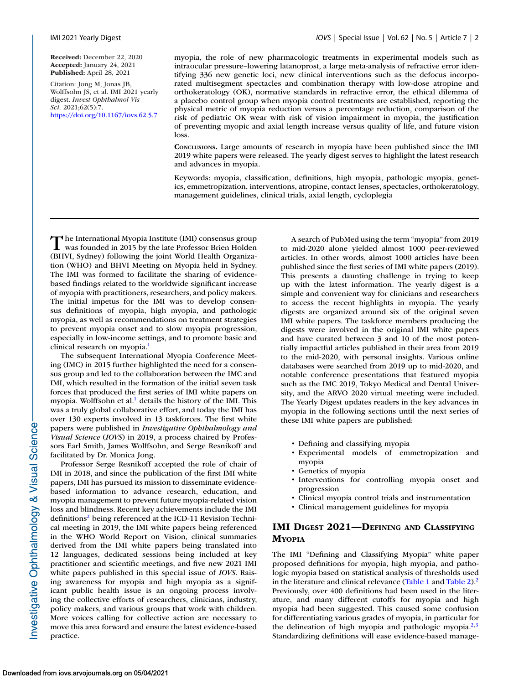**Received:** December 22, 2020 **Accepted:** January 24, 2021 **Published:** April 28, 2021

Citation: Jong M, Jonas JB, Wolffsohn JS, et al. IMI 2021 yearly digest. *Invest Ophthalmol Vis Sci.* 2021;62(5):7. <https://doi.org/10.1167/iovs.62.5.7>

myopia, the role of new pharmacologic treatments in experimental models such as intraocular pressure–lowering latanoprost, a large meta-analysis of refractive error identifying 336 new genetic loci, new clinical interventions such as the defocus incorporated multisegment spectacles and combination therapy with low-dose atropine and orthokeratology (OK), normative standards in refractive error, the ethical dilemma of a placebo control group when myopia control treatments are established, reporting the physical metric of myopia reduction versus a percentage reduction, comparison of the risk of pediatric OK wear with risk of vision impairment in myopia, the justification of preventing myopic and axial length increase versus quality of life, and future vision loss.

**CONCLUSIONS.** Large amounts of research in myopia have been published since the IMI 2019 white papers were released. The yearly digest serves to highlight the latest research and advances in myopia.

Keywords: myopia, classification, definitions, high myopia, pathologic myopia, genetics, emmetropization, interventions, atropine, contact lenses, spectacles, orthokeratology, management guidelines, clinical trials, axial length, cycloplegia

The International Myopia Institute (IMI) consensus group<br>was founded in 2015 by the late Professor Brien Holden<br>www.scotter (BHVI, Sydney) following the joint World Health Organization (WHO) and BHVI Meeting on Myopia held in Sydney. The IMI was formed to facilitate the sharing of evidencebased findings related to the worldwide significant increase of myopia with practitioners, researchers, and policy makers. The initial impetus for the IMI was to develop consensus definitions of myopia, high myopia, and pathologic myopia, as well as recommendations on treatment strategies to prevent myopia onset and to slow myopia progression, especially in low-income settings, and to promote basic and clinical research on myopia.<sup>1</sup>

The subsequent International Myopia Conference Meeting (IMC) in 2015 further highlighted the need for a consensus group and led to the collaboration between the IMC and IMI, which resulted in the formation of the initial seven task forces that produced the first series of IMI white papers on myopia. Wolffsohn et al.<sup>1</sup> details the history of the IMI. This was a truly global collaborative effort, and today the IMI has over 130 experts involved in 13 taskforces. The first white papers were published in *Investigative Ophthalmology and Visual Science* (*IOVS*) in 2019, a process chaired by Professors Earl Smith, James Wolffsohn, and Serge Resnikoff and facilitated by Dr. Monica Jong.

Professor Serge Resnikoff accepted the role of chair of IMI in 2018, and since the publication of the first IMI white papers, IMI has pursued its mission to disseminate evidencebased information to advance research, education, and myopia management to prevent future myopia-related vision loss and blindness. Recent key achievements include the IMI definitions<sup>2</sup> being referenced at the ICD-11 Revision Technical meeting in 2019, the IMI white papers being referenced in the WHO World Report on Vision, clinical summaries derived from the IMI white papers being translated into 12 languages, dedicated sessions being included at key practitioner and scientific meetings, and five new 2021 IMI white papers published in this special issue of *IOVS*. Raising awareness for myopia and high myopia as a significant public health issue is an ongoing process involving the collective efforts of researchers, clinicians, industry, policy makers, and various groups that work with children. More voices calling for collective action are necessary to move this area forward and ensure the latest evidence-based practice.

A search of PubMed using the term "myopia" from 2019 to mid-2020 alone yielded almost 1000 peer-reviewed articles. In other words, almost 1000 articles have been published since the first series of IMI white papers (2019). This presents a daunting challenge in trying to keep up with the latest information. The yearly digest is a simple and convenient way for clinicians and researchers to access the recent highlights in myopia. The yearly digests are organized around six of the original seven IMI white papers. The taskforce members producing the digests were involved in the original IMI white papers and have curated between 3 and 10 of the most potentially impactful articles published in their area from 2019 to the mid-2020, with personal insights. Various online databases were searched from 2019 up to mid-2020, and notable conference presentations that featured myopia such as the IMC 2019, Tokyo Medical and Dental University, and the ARVO 2020 virtual meeting were included. The Yearly Digest updates readers in the key advances in myopia in the following sections until the next series of these IMI white papers are published:

- Defining and classifying myopia
- Experimental models of emmetropization and myopia
- Genetics of myopia
- Interventions for controlling myopia onset and progression
- Clinical myopia control trials and instrumentation
- Clinical management guidelines for myopia

### **IMI DIGEST 2021—DEFINING AND CLASSIFYING MYOPIA**

The IMI "Defining and Classifying Myopia" white paper proposed definitions for myopia, high myopia, and pathologic myopia based on statistical analysis of thresholds used in the literature and clinical relevance [\(Table 1](#page-2-0) and [Table 2\)](#page-2-0).<sup>2</sup> Previously, over 400 definitions had been used in the literature, and many different cutoffs for myopia and high myopia had been suggested. This caused some confusion for differentiating various grades of myopia, in particular for the delineation of high myopia and pathologic myopia.<sup>2,3</sup> Standardizing definitions will ease evidence-based manage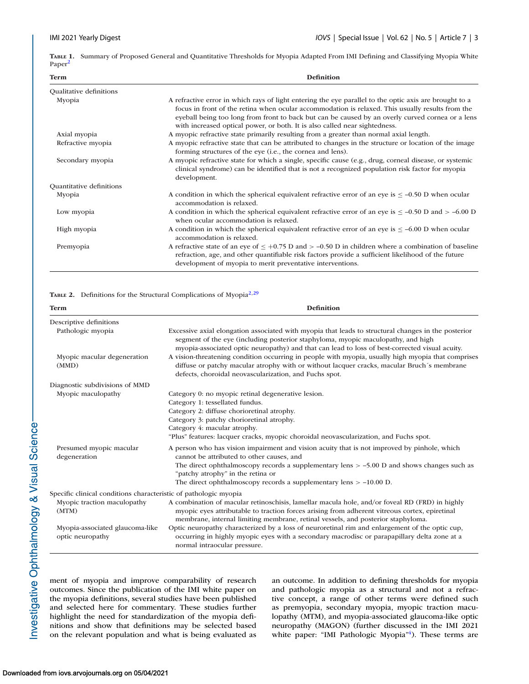<span id="page-2-0"></span>**TABLE 1.** Summary of Proposed General and Quantitative Thresholds for Myopia Adapted From IMI Defining and Classifying Myopia White Paper<sup>2</sup>

| <b>Definition</b><br><b>Term</b> |                                                                                                                                                                                                                                                                                                                                                                                              |  |  |  |  |
|----------------------------------|----------------------------------------------------------------------------------------------------------------------------------------------------------------------------------------------------------------------------------------------------------------------------------------------------------------------------------------------------------------------------------------------|--|--|--|--|
| Qualitative definitions          |                                                                                                                                                                                                                                                                                                                                                                                              |  |  |  |  |
| Myopia                           | A refractive error in which rays of light entering the eye parallel to the optic axis are brought to a<br>focus in front of the retina when ocular accommodation is relaxed. This usually results from the<br>eyeball being too long from front to back but can be caused by an overly curved cornea or a lens<br>with increased optical power, or both. It is also called near sightedness. |  |  |  |  |
| Axial myopia                     | A myopic refractive state primarily resulting from a greater than normal axial length.                                                                                                                                                                                                                                                                                                       |  |  |  |  |
| Refractive myopia                | A myopic refractive state that can be attributed to changes in the structure or location of the image<br>forming structures of the eye (i.e., the cornea and lens).                                                                                                                                                                                                                          |  |  |  |  |
| Secondary myopia                 | A myopic refractive state for which a single, specific cause (e.g., drug, corneal disease, or systemic<br>clinical syndrome) can be identified that is not a recognized population risk factor for myopia<br>development.                                                                                                                                                                    |  |  |  |  |
| Quantitative definitions         |                                                                                                                                                                                                                                                                                                                                                                                              |  |  |  |  |
| Myopia                           | A condition in which the spherical equivalent refractive error of an eye is $\leq -0.50$ D when ocular<br>accommodation is relaxed.                                                                                                                                                                                                                                                          |  |  |  |  |
| Low myopia                       | A condition in which the spherical equivalent refractive error of an eye is $\leq -0.50$ D and $> -0.00$ D<br>when ocular accommodation is relaxed.                                                                                                                                                                                                                                          |  |  |  |  |
| High myopia                      | A condition in which the spherical equivalent refractive error of an eye is $\leq -6.00$ D when ocular<br>accommodation is relaxed.                                                                                                                                                                                                                                                          |  |  |  |  |
| Premyopia                        | A refractive state of an eye of $\leq +0.75$ D and $> -0.50$ D in children where a combination of baseline<br>refraction, age, and other quantifiable risk factors provide a sufficient likelihood of the future<br>development of myopia to merit preventative interventions.                                                                                                               |  |  |  |  |

#### TABLE 2. Definitions for the Structural Complications of Myopia<sup>2,[29](#page-18-0)</sup>

| <b>Term</b>                                                      | <b>Definition</b>                                                                                                                                                                                                                                                                                                                                                                                        |
|------------------------------------------------------------------|----------------------------------------------------------------------------------------------------------------------------------------------------------------------------------------------------------------------------------------------------------------------------------------------------------------------------------------------------------------------------------------------------------|
| Descriptive definitions                                          |                                                                                                                                                                                                                                                                                                                                                                                                          |
| Pathologic myopia                                                | Excessive axial elongation associated with myopia that leads to structural changes in the posterior<br>segment of the eye (including posterior staphyloma, myopic maculopathy, and high<br>myopia-associated optic neuropathy) and that can lead to loss of best-corrected visual acuity.                                                                                                                |
| Myopic macular degeneration<br>(MMD)                             | A vision-threatening condition occurring in people with myopia, usually high myopia that comprises<br>diffuse or patchy macular atrophy with or without lacquer cracks, macular Bruch's membrane<br>defects, choroidal neovascularization, and Fuchs spot.                                                                                                                                               |
| Diagnostic subdivisions of MMD                                   |                                                                                                                                                                                                                                                                                                                                                                                                          |
| Myopic maculopathy<br>Presumed myopic macular                    | Category 0: no myopic retinal degenerative lesion.<br>Category 1: tessellated fundus.<br>Category 2: diffuse chorioretinal atrophy.<br>Category 3: patchy chorioretinal atrophy.<br>Category 4: macular atrophy.<br>"Plus" features: lacquer cracks, myopic choroidal neovascularization, and Fuchs spot.<br>A person who has vision impairment and vision acuity that is not improved by pinhole, which |
| degeneration                                                     | cannot be attributed to other causes, and<br>The direct ophthalmoscopy records a supplementary lens $> -5.00$ D and shows changes such as<br>"patchy atrophy" in the retina or<br>The direct ophthalmoscopy records a supplementary lens $> -10.00$ D.                                                                                                                                                   |
| Specific clinical conditions characteristic of pathologic myopia |                                                                                                                                                                                                                                                                                                                                                                                                          |
| Myopic traction maculopathy<br>(MTM)                             | A combination of macular retinoschisis, lamellar macula hole, and/or foveal RD (FRD) in highly<br>myopic eyes attributable to traction forces arising from adherent vitreous cortex, epiretinal<br>membrane, internal limiting membrane, retinal vessels, and posterior staphyloma.                                                                                                                      |
| Myopia-associated glaucoma-like<br>optic neuropathy              | Optic neuropathy characterized by a loss of neuroretinal rim and enlargement of the optic cup,<br>occurring in highly myopic eyes with a secondary macrodisc or parapapillary delta zone at a<br>normal intraocular pressure.                                                                                                                                                                            |

ment of myopia and improve comparability of research outcomes. Since the publication of the IMI white paper on the myopia definitions, several studies have been published and selected here for commentary. These studies further highlight the need for standardization of the myopia definitions and show that definitions may be selected based on the relevant population and what is being evaluated as an outcome. In addition to defining thresholds for myopia and pathologic myopia as a structural and not a refractive concept, a range of other terms were defined such as premyopia, secondary myopia, myopic traction maculopathy (MTM), and myopia-associated glaucoma-like optic neuropathy (MAGON) (further discussed in the IMI 2021 white paper: "IMI Pathologic Myopia"<sup>4</sup>). These terms are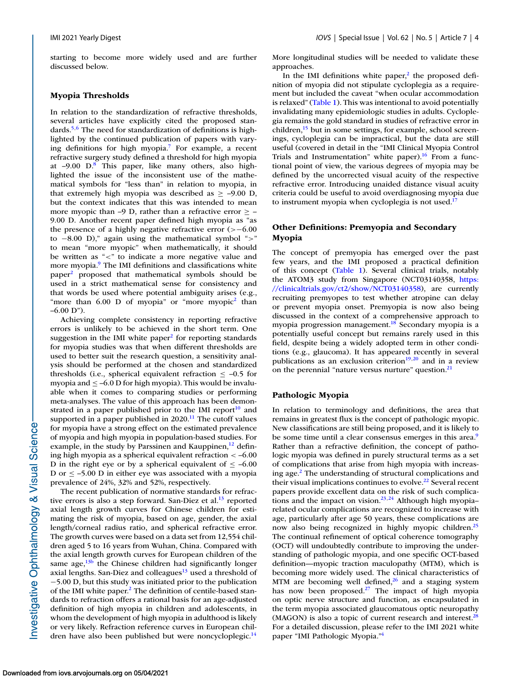starting to become more widely used and are further discussed below.

#### **Myopia Thresholds**

In relation to the standardization of refractive thresholds, several articles have explicitly cited the proposed standards.<sup>5,6</sup> The need for standardization of definitions is highlighted by the continued publication of papers with varying definitions for high myopia[.7](#page-17-0) For example, a recent refractive surgery study defined a threshold for high myopia at  $-9.00$  D.<sup>8</sup> This paper, like many others, also highlighted the issue of the inconsistent use of the mathematical symbols for "less than" in relation to myopia, in that extremely high myopia was described as  $\ge$  -9.00 D, but the context indicates that this was intended to mean more myopic than –9 D, rather than a refractive error  $\geq$  – 9.00 D. Another recent paper defined high myopia as "as the presence of a highly negative refractive error (>−6.00 to −8.00 D)," again using the mathematical symbol ">" to mean "more myopic" when mathematically, it should be written as "<" to indicate a more negative value and more myopia.<sup>9</sup> The IMI definitions and classifications white paper[2](#page-17-0) proposed that mathematical symbols should be used in a strict mathematical sense for consistency and that words be used where potential ambiguity arises (e.g., "more than  $6.00$  D of myopia" or "more myopic<sup>2</sup> than  $-6.00$  D").

Achieving complete consistency in reporting refractive errors is unlikely to be achieved in the short term. One suggestion in the IMI white paper $2$  for reporting standards for myopia studies was that when different thresholds are used to better suit the research question, a sensitivity analysis should be performed at the chosen and standardized thresholds (i.e., spherical equivalent refraction  $\le -0.5$  for myopia and  $\leq -6.0$  D for high myopia). This would be invaluable when it comes to comparing studies or performing meta-analyses. The value of this approach has been demonstrated in a paper published prior to the IMI report<sup>10</sup> and supported in a paper published in  $2020$ .<sup>11</sup> The cutoff values for myopia have a strong effect on the estimated prevalence of myopia and high myopia in population-based studies. For example, in the study by Parssinen and Kauppinen, $^{12}$  defining high myopia as a spherical equivalent refraction < –6.00 D in the right eye or by a spherical equivalent of  $\leq -6.00$ D or  $\leq$  -5.00 D in either eye was associated with a myopia prevalence of 24%, 32% and 52%, respectively.

The recent publication of normative standards for refractive errors is also a step forward. San-Diez et al. $^{13}$  reported axial length growth curves for Chinese children for estimating the risk of myopia, based on age, gender, the axial length/corneal radius ratio, and spherical refractive error. The growth curves were based on a data set from 12,554 children aged 5 to 16 years from Wuhan, China. Compared with the axial length growth curves for European children of the same age, $13<sup>b</sup>$  the Chinese children had significantly longer axial lengths. San-Diez and colleagues $13$  used a threshold of −5.00 D, but this study was initiated prior to the publication of the IMI white paper[.2](#page-17-0) The definition of centile-based standards to refraction offers a rational basis for an age-adjusted definition of high myopia in children and adolescents, in whom the development of high myopia in adulthood is likely or very likely. Refraction reference curves in European children have also been published but were noncycloplegic.<sup>14</sup>

More longitudinal studies will be needed to validate these approaches.

In the IMI definitions white paper, $<sup>2</sup>$  the proposed defi-</sup> nition of myopia did not stipulate cycloplegia as a requirement but included the caveat "when ocular accommodation is relaxed" [\(Table 1\)](#page-2-0). This was intentional to avoid potentially invalidating many epidemiologic studies in adults. Cycloplegia remains the gold standard in studies of refractive error in children, $\frac{15}{15}$  but in some settings, for example, school screenings, cycloplegia can be impractical, but the data are still useful (covered in detail in the "IMI Clinical Myopia Control Trials and Instrumentation" white paper).<sup>16</sup> From a functional point of view, the various degrees of myopia may be defined by the uncorrected visual acuity of the respective refractive error. Introducing unaided distance visual acuity criteria could be useful to avoid overdiagnosing myopia due to instrument myopia when cycloplegia is not used.<sup>17</sup>

### **Other Definitions: Premyopia and Secondary Myopia**

The concept of premyopia has emerged over the past few years, and the IMI proposed a practical definition of this concept [\(Table 1\)](#page-2-0). Several clinical trials, notably the ATOM3 study from Singapore (NCT03140358, https: [//clinicaltrials.gov/ct2/show/NCT03140358\), are currently](https://clinicaltrials.gov/ct2/show/NCT03140358) recruiting premyopes to test whether atropine can delay or prevent myopia onset. Premyopia is now also being discussed in the context of a comprehensive approach to myopia progression management. $18$  Secondary myopia is a potentially useful concept but remains rarely used in this field, despite being a widely adopted term in other conditions (e.g., glaucoma). It has appeared recently in several publications as an exclusion criterion $19,20$  and in a review on the perennial "nature versus nurture" question.<sup>21</sup>

#### **Pathologic Myopia**

In relation to terminology and definitions, the area that remains in greatest flux is the concept of pathologic myopic. New classifications are still being proposed, and it is likely to be some time until a clear consensus emerges in this area.<sup>9</sup> Rather than a refractive definition, the concept of pathologic myopia was defined in purely structural terms as a set of complications that arise from high myopia with increasing age[.2](#page-17-0) The understanding of structural complications and their visual implications continues to evolve.<sup>22</sup> Several recent papers provide excellent data on the risk of such complica-tions and the impact on vision.<sup>23,[24](#page-18-0)</sup> Although high myopia– related ocular complications are recognized to increase with age, particularly after age 50 years, these complications are now also being recognized in highly myopic children.<sup>25</sup> The continual refinement of optical coherence tomography (OCT) will undoubtedly contribute to improving the understanding of pathologic myopia, and one specific OCT-based definition—myopic traction maculopathy (MTM), which is becoming more widely used. The clinical characteristics of MTM are becoming well defined, $26$  and a staging system has now been proposed.<sup>27</sup> The impact of high myopia on optic nerve structure and function, as encapsulated in the term myopia associated glaucomatous optic neuropathy (MAGON) is also a topic of current research and interest.<sup>28</sup> For a detailed discussion, please refer to the IMI 2021 white paper "IMI Pathologic Myopia.["4](#page-17-0)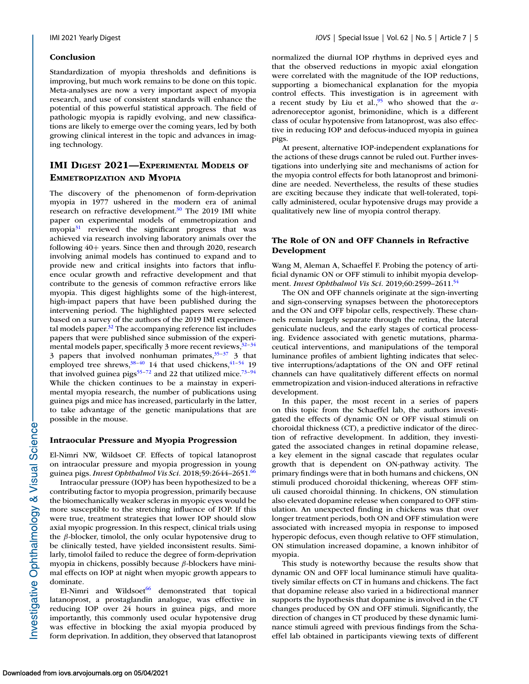#### **Conclusion**

Standardization of myopia thresholds and definitions is improving, but much work remains to be done on this topic. Meta-analyses are now a very important aspect of myopia research, and use of consistent standards will enhance the potential of this powerful statistical approach. The field of pathologic myopia is rapidly evolving, and new classifications are likely to emerge over the coming years, led by both growing clinical interest in the topic and advances in imaging technology.

### **IMI DIGEST 2021—EXPERIMENTAL MODELS OF EMMETROPIZATION AND MYOPIA**

The discovery of the phenomenon of form-deprivation myopia in 1977 ushered in the modern era of animal research on refractive development. $30$  The 2019 IMI white paper on experimental models of emmetropization and myopia<sup>31</sup> reviewed the significant progress that was achieved via research involving laboratory animals over the following 40+ years. Since then and through 2020, research involving animal models has continued to expand and to provide new and critical insights into factors that influence ocular growth and refractive development and that contribute to the genesis of common refractive errors like myopia. This digest highlights some of the high-interest, high-impact papers that have been published during the intervening period. The highlighted papers were selected based on a survey of the authors of the 2019 IMI experimental models paper. $32$  The accompanying reference list includes papers that were published since submission of the experimental models paper, specifically 3 more recent reviews,  $32-34$ 3 papers that involved nonhuman primates, $35-37$  3 that employed tree shrews, $38-40$  14 that used chickens, $41-54$  19 that involved guinea pigs<sup>55–[72](#page-19-0)</sup> and 22 that utilized mice.<sup>73–94</sup> While the chicken continues to be a mainstay in experimental myopia research, the number of publications using guinea pigs and mice has increased, particularly in the latter, to take advantage of the genetic manipulations that are possible in the mouse.

### **Intraocular Pressure and Myopia Progression**

El-Nimri NW, Wildsoet CF. Effects of topical latanoprost on intraocular pressure and myopia progression in young guinea pigs. *Invest Ophthalmol Vis Sci.* 2018;59:2644–2651[.66](#page-19-0)

Intraocular pressure (IOP) has been hypothesized to be a contributing factor to myopia progression, primarily because the biomechanically weaker scleras in myopic eyes would be more susceptible to the stretching influence of IOP. If this were true, treatment strategies that lower IOP should slow axial myopic progression. In this respect, clinical trials using the  $\beta$ -blocker, timolol, the only ocular hypotensive drug to be clinically tested, have yielded inconsistent results. Similarly, timolol failed to reduce the degree of form-deprivation myopia in chickens, possibly because β-blockers have minimal effects on IOP at night when myopic growth appears to dominate.

El-Nimri and Wildsoet $^{66}$  demonstrated that topical latanoprost, a prostaglandin analogue, was effective in reducing IOP over 24 hours in guinea pigs, and more importantly, this commonly used ocular hypotensive drug was effective in blocking the axial myopia produced by form deprivation. In addition, they observed that latanoprost normalized the diurnal IOP rhythms in deprived eyes and that the observed reductions in myopic axial elongation were correlated with the magnitude of the IOP reductions, supporting a biomechanical explanation for the myopia control effects. This investigation is in agreement with a recent study by Liu et al.,<sup>95</sup> who showed that the  $\alpha$ adrenoreceptor agonist, brimonidine, which is a different class of ocular hypotensive from latanoprost, was also effective in reducing IOP and defocus-induced myopia in guinea pigs.

At present, alternative IOP-independent explanations for the actions of these drugs cannot be ruled out. Further investigations into underlying site and mechanisms of action for the myopia control effects for both latanoprost and brimonidine are needed. Nevertheless, the results of these studies are exciting because they indicate that well-tolerated, topically administered, ocular hypotensive drugs may provide a qualitatively new line of myopia control therapy.

### **The Role of ON and OFF Channels in Refractive Development**

Wang M, Aleman A, Schaeffel F. Probing the potency of artificial dynamic ON or OFF stimuli to inhibit myopia development. *Invest Ophthalmol Vis Sci*. 2019;60:2599–2611[.54](#page-18-0)

The ON and OFF channels originate at the sign-inverting and sign-conserving synapses between the photoreceptors and the ON and OFF bipolar cells, respectively. These channels remain largely separate through the retina, the lateral geniculate nucleus, and the early stages of cortical processing. Evidence associated with genetic mutations, pharmaceutical interventions, and manipulations of the temporal luminance profiles of ambient lighting indicates that selective interruptions/adaptations of the ON and OFF retinal channels can have qualitatively different effects on normal emmetropization and vision-induced alterations in refractive development.

In this paper, the most recent in a series of papers on this topic from the Schaeffel lab, the authors investigated the effects of dynamic ON or OFF visual stimuli on choroidal thickness (CT), a predictive indicator of the direction of refractive development. In addition, they investigated the associated changes in retinal dopamine release, a key element in the signal cascade that regulates ocular growth that is dependent on ON-pathway activity. The primary findings were that in both humans and chickens, ON stimuli produced choroidal thickening, whereas OFF stimuli caused choroidal thinning. In chickens, ON stimulation also elevated dopamine release when compared to OFF stimulation. An unexpected finding in chickens was that over longer treatment periods, both ON and OFF stimulation were associated with increased myopia in response to imposed hyperopic defocus, even though relative to OFF stimulation, ON stimulation increased dopamine, a known inhibitor of myopia.

This study is noteworthy because the results show that dynamic ON and OFF local luminance stimuli have qualitatively similar effects on CT in humans and chickens. The fact that dopamine release also varied in a bidirectional manner supports the hypothesis that dopamine is involved in the CT changes produced by ON and OFF stimuli. Significantly, the direction of changes in CT produced by these dynamic luminance stimuli agreed with previous findings from the Schaeffel lab obtained in participants viewing texts of different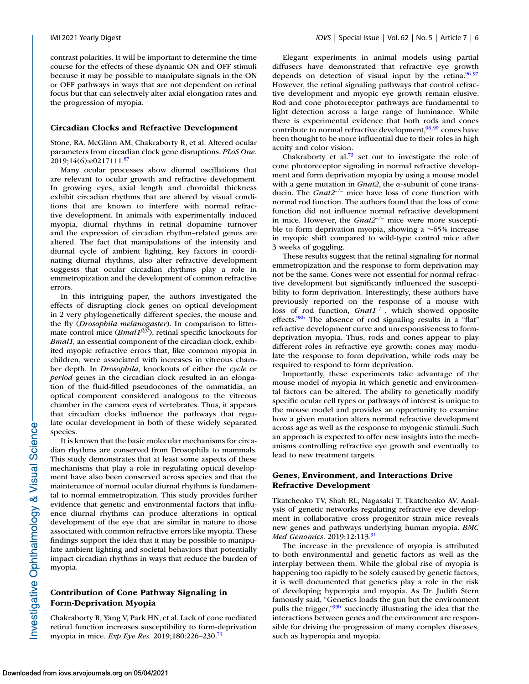contrast polarities. It will be important to determine the time course for the effects of these dynamic ON and OFF stimuli because it may be possible to manipulate signals in the ON or OFF pathways in ways that are not dependent on retinal focus but that can selectively alter axial elongation rates and the progression of myopia.

#### **Circadian Clocks and Refractive Development**

Stone, RA, McGlinn AM, Chakraborty R, et al. Altered ocular parameters from circadian clock gene disruptions. *PLoS One.* 2019;14(6):e0217111.<sup>87</sup>

Many ocular processes show diurnal oscillations that are relevant to ocular growth and refractive development. In growing eyes, axial length and choroidal thickness exhibit circadian rhythms that are altered by visual conditions that are known to interfere with normal refractive development. In animals with experimentally induced myopia, diurnal rhythms in retinal dopamine turnover and the expression of circadian rhythm–related genes are altered. The fact that manipulations of the intensity and diurnal cycle of ambient lighting, key factors in coordinating diurnal rhythms, also alter refractive development suggests that ocular circadian rhythms play a role in emmetropization and the development of common refractive errors.

In this intriguing paper, the authors investigated the effects of disrupting clock genes on optical development in 2 very phylogenetically different species, the mouse and the fly (*Drosophila melanogaster*). In comparison to littermate control mice (*Bmal1<sup>fl/fl</sup>*), retinal specific knockouts for *Bmal1,* an essential component of the circadian clock, exhibited myopic refractive errors that, like common myopia in children, were associated with increases in vitreous chamber depth. In *Drosophila*, knockouts of either the *cycle* or *period* genes in the circadian clock resulted in an elongation of the fluid-filled pseudocones of the ommatidia, an optical component considered analogous to the vitreous chamber in the camera eyes of vertebrates. Thus, it appears that circadian clocks influence the pathways that regulate ocular development in both of these widely separated species.

It is known that the basic molecular mechanisms for circadian rhythms are conserved from Drosophila to mammals. This study demonstrates that at least some aspects of these mechanisms that play a role in regulating optical development have also been conserved across species and that the maintenance of normal ocular diurnal rhythms is fundamental to normal emmetropization. This study provides further evidence that genetic and environmental factors that influence diurnal rhythms can produce alterations in optical development of the eye that are similar in nature to those associated with common refractive errors like myopia. These findings support the idea that it may be possible to manipulate ambient lighting and societal behaviors that potentially impact circadian rhythms in ways that reduce the burden of myopia.

### **Contribution of Cone Pathway Signaling in Form-Deprivation Myopia**

Chakraborty R, Yang V, Park HN, et al. Lack of cone mediated retinal function increases susceptibility to form-deprivation myopia in mice. *Exp Eye Res*. 2019;180:226–230[.73](#page-19-0)

Elegant experiments in animal models using partial diffusers have demonstrated that refractive eye growth depends on detection of visual input by the retina. $96,97$ However, the retinal signaling pathways that control refractive development and myopic eye growth remain elusive. Rod and cone photoreceptor pathways are fundamental to light detection across a large range of luminance. While there is experimental evidence that both rods and cones contribute to normal refractive development, $\frac{98,99}{8}$  cones have been thought to be more influential due to their roles in high acuity and color vision.

Chakraborty et al.<sup>73</sup> set out to investigate the role of cone photoreceptor signaling in normal refractive development and form deprivation myopia by using a mouse model with a gene mutation in *Gnat2*, the α-subunit of cone transducin. The *Gnat2*–/– mice have loss of cone function with normal rod function. The authors found that the loss of cone function did not influence normal refractive development in mice. However, the *Gnat2*–/– mice were more susceptible to form deprivation myopia, showing a ∼65% increase in myopic shift compared to wild-type control mice after 3 weeks of goggling.

These results suggest that the retinal signaling for normal emmetropization and the response to form deprivation may not be the same. Cones were not essential for normal refractive development but significantly influenced the susceptibility to form deprivation. Interestingly, these authors have previously reported on the response of a mouse with loss of rod function, *Gnat1*–/–, which showed opposite effects[.98b](#page-20-0) The absence of rod signaling results in a "flat" refractive development curve and unresponsiveness to formdeprivation myopia. Thus, rods and cones appear to play different roles in refractive eye growth: cones may modulate the response to form deprivation, while rods may be required to respond to form deprivation.

Importantly, these experiments take advantage of the mouse model of myopia in which genetic and environmental factors can be altered. The ability to genetically modify specific ocular cell types or pathways of interest is unique to the mouse model and provides an opportunity to examine how a given mutation alters normal refractive development across age as well as the response to myogenic stimuli. Such an approach is expected to offer new insights into the mechanisms controlling refractive eye growth and eventually to lead to new treatment targets.

### **Genes, Environment, and Interactions Drive Refractive Development**

Tkatchenko TV, Shah RL, Nagasaki T, Tkatchenko AV. Analysis of genetic networks regulating refractive eye development in collaborative cross progenitor strain mice reveals new genes and pathways underlying human myopia. *BMC Med Genomics.* 2019;12:113[.91](#page-19-0)

The increase in the prevalence of myopia is attributed to both environmental and genetic factors as well as the interplay between them. While the global rise of myopia is happening too rapidly to be solely caused by genetic factors, it is well documented that genetics play a role in the risk of developing hyperopia and myopia. As Dr. Judith Stern famously said, "Genetics loads the gun but the environment pulls the trigger,["99b](#page-20-0) succinctly illustrating the idea that the interactions between genes and the environment are responsible for driving the progression of many complex diseases, such as hyperopia and myopia.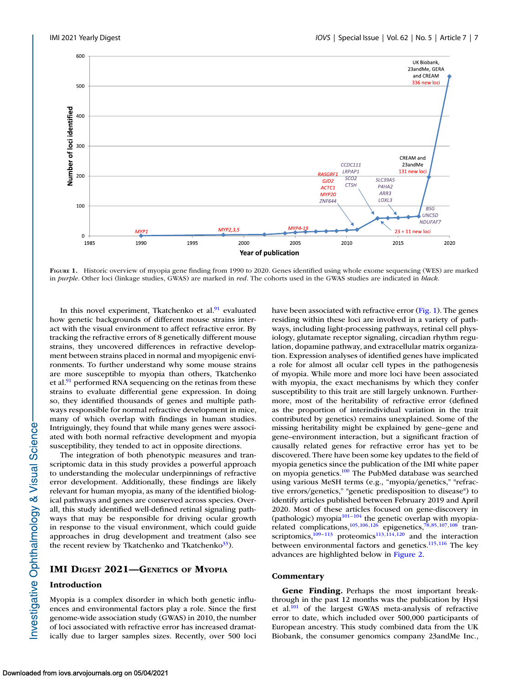

**FIGURE 1.** Historic overview of myopia gene finding from 1990 to 2020. Genes identified using whole exome sequencing (WES) are marked in *purple*. Other loci (linkage studies, GWAS) are marked in *red*. The cohorts used in the GWAS studies are indicated in *black*.

In this novel experiment, Tkatchenko et al.<sup>91</sup> evaluated how genetic backgrounds of different mouse strains interact with the visual environment to affect refractive error. By tracking the refractive errors of 8 genetically different mouse strains, they uncovered differences in refractive development between strains placed in normal and myopigenic environments. To further understand why some mouse strains are more susceptible to myopia than others, Tkatchenko et al. $91$  performed RNA sequencing on the retinas from these strains to evaluate differential gene expression. In doing so, they identified thousands of genes and multiple pathways responsible for normal refractive development in mice, many of which overlap with findings in human studies. Intriguingly, they found that while many genes were associated with both normal refractive development and myopia susceptibility, they tended to act in opposite directions.

The integration of both phenotypic measures and transcriptomic data in this study provides a powerful approach to understanding the molecular underpinnings of refractive error development. Additionally, these findings are likely relevant for human myopia, as many of the identified biological pathways and genes are conserved across species. Overall, this study identified well-defined retinal signaling pathways that may be responsible for driving ocular growth in response to the visual environment, which could guide approaches in drug development and treatment (also see the recent review by Tkatchenko and Tkatchenko $33$ ).

### **IMI DIGEST 2021—GENETICS OF MYOPIA**

#### **Introduction**

Myopia is a complex disorder in which both genetic influences and environmental factors play a role. Since the first genome-wide association study (GWAS) in 2010, the number of loci associated with refractive error has increased dramatically due to larger samples sizes. Recently, over 500 loci have been associated with refractive error (Fig. 1). The genes residing within these loci are involved in a variety of pathways, including light-processing pathways, retinal cell physiology, glutamate receptor signaling, circadian rhythm regulation, dopamine pathway, and extracellular matrix organization. Expression analyses of identified genes have implicated a role for almost all ocular cell types in the pathogenesis of myopia. While more and more loci have been associated with myopia, the exact mechanisms by which they confer susceptibility to this trait are still largely unknown. Furthermore, most of the heritability of refractive error (defined as the proportion of interindividual variation in the trait contributed by genetics) remains unexplained. Some of the missing heritability might be explained by gene–gene and gene–environment interaction, but a significant fraction of causally related genes for refractive error has yet to be discovered. There have been some key updates to the field of myopia genetics since the publication of the IMI white paper on myopia genetics[.100](#page-20-0) The PubMed database was searched using various MeSH terms (e.g., "myopia/genetics," "refractive errors/genetics," "genetic predisposition to disease") to identify articles published between February 2019 and April 2020. Most of these articles focused on gene-discovery in (pathologic) myopia<sup>101-104</sup> the genetic overlap with myopia-related complications,<sup>105,106,126</sup> epigenetics,<sup>78,85[,107,108](#page-20-0)</sup> transcriptomics, $\frac{109-113}{9}$  proteomics<sup>113,114,120</sup> and the interaction between environmental factors and genetics.<sup>115,116</sup> The key advances are highlighted below in [Figure 2.](#page-7-0)

### **Commentary**

**Gene Finding.** Perhaps the most important breakthrough in the past 12 months was the publication by Hysi et al[.101](#page-20-0) of the largest GWAS meta-analysis of refractive error to date, which included over 500,000 participants of European ancestry. This study combined data from the UK Biobank, the consumer genomics company 23andMe Inc.,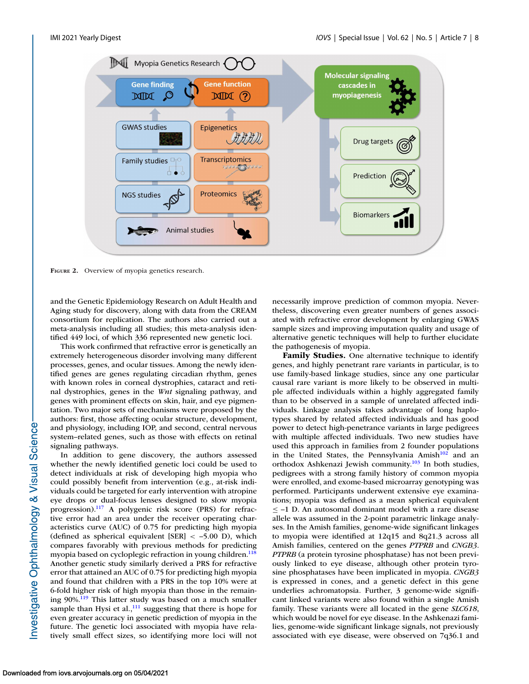<span id="page-7-0"></span>

**FIGURE 2.** Overview of myopia genetics research.

and the Genetic Epidemiology Research on Adult Health and Aging study for discovery, along with data from the CREAM consortium for replication. The authors also carried out a meta-analysis including all studies; this meta-analysis identified 449 loci, of which 336 represented new genetic loci.

This work confirmed that refractive error is genetically an extremely heterogeneous disorder involving many different processes, genes, and ocular tissues. Among the newly identified genes are genes regulating circadian rhythm, genes with known roles in corneal dystrophies, cataract and retinal dystrophies, genes in the *Wnt* signaling pathway, and genes with prominent effects on skin, hair, and eye pigmentation. Two major sets of mechanisms were proposed by the authors: first, those affecting ocular structure, development, and physiology, including IOP, and second, central nervous system–related genes, such as those with effects on retinal signaling pathways.

In addition to gene discovery, the authors assessed whether the newly identified genetic loci could be used to detect individuals at risk of developing high myopia who could possibly benefit from intervention (e.g., at-risk individuals could be targeted for early intervention with atropine eye drops or dual-focus lenses designed to slow myopia progression)[.117](#page-20-0) A polygenic risk score (PRS) for refractive error had an area under the receiver operating characteristics curve (AUC) of 0.75 for predicting high myopia (defined as spherical equivalent [SER] < –5.00 D), which compares favorably with previous methods for predicting myopia based on cycloplegic refraction in young children.<sup>118</sup> Another genetic study similarly derived a PRS for refractive error that attained an AUC of 0.75 for predicting high myopia and found that children with a PRS in the top 10% were at 6-fold higher risk of high myopia than those in the remaining 90%[.119](#page-20-0) This latter study was based on a much smaller sample than Hysi et al., $^{111}$  suggesting that there is hope for even greater accuracy in genetic prediction of myopia in the future. The genetic loci associated with myopia have relatively small effect sizes, so identifying more loci will not necessarily improve prediction of common myopia. Nevertheless, discovering even greater numbers of genes associated with refractive error development by enlarging GWAS sample sizes and improving imputation quality and usage of alternative genetic techniques will help to further elucidate the pathogenesis of myopia.

**Family Studies.** One alternative technique to identify genes, and highly penetrant rare variants in particular, is to use family-based linkage studies, since any one particular causal rare variant is more likely to be observed in multiple affected individuals within a highly aggregated family than to be observed in a sample of unrelated affected individuals. Linkage analysis takes advantage of long haplotypes shared by related affected individuals and has good power to detect high-penetrance variants in large pedigrees with multiple affected individuals. Two new studies have used this approach in families from 2 founder populations in the United States, the Pennsylvania Amish $102$  and an orthodox Ashkenazi Jewish community.<sup>103</sup> In both studies, pedigrees with a strong family history of common myopia were enrolled, and exome-based microarray genotyping was performed. Participants underwent extensive eye examinations; myopia was defined as a mean spherical equivalent ≤ –1 D. An autosomal dominant model with a rare disease allele was assumed in the 2-point parametric linkage analyses. In the Amish families, genome-wide significant linkages to myopia were identified at 12q15 and 8q21.3 across all Amish families, centered on the genes *PTPRB* and *CNGB3*. *PTPRB* (a protein tyrosine phosphatase) has not been previously linked to eye disease, although other protein tyrosine phosphatases have been implicated in myopia. *CNGB3* is expressed in cones, and a genetic defect in this gene underlies achromatopsia. Further, 3 genome-wide significant linked variants were also found within a single Amish family. These variants were all located in the gene *SLC618*, which would be novel for eye disease. In the Ashkenazi families, genome-wide significant linkage signals, not previously associated with eye disease, were observed on 7q36.1 and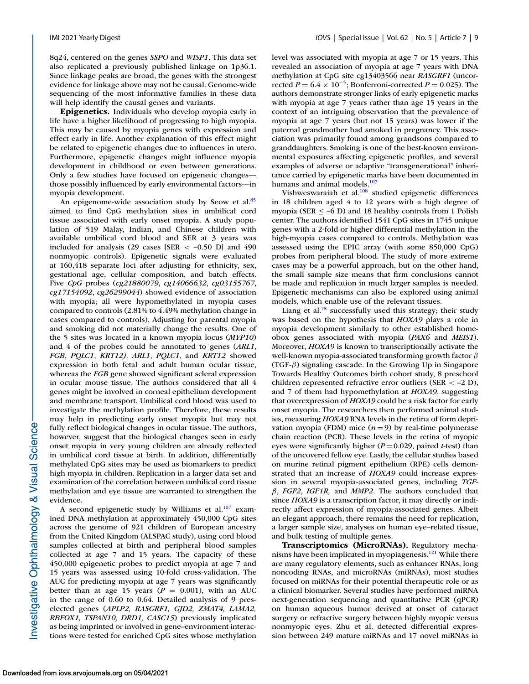8q24, centered on the genes *SSPO* and *WISP1*. This data set also replicated a previously published linkage on 1p36.1. Since linkage peaks are broad, the genes with the strongest evidence for linkage above may not be causal. Genome-wide sequencing of the most informative families in these data will help identify the causal genes and variants.

**Epigenetics.** Individuals who develop myopia early in life have a higher likelihood of progressing to high myopia. This may be caused by myopia genes with expression and effect early in life. Another explanation of this effect might be related to epigenetic changes due to influences in utero. Furthermore, epigenetic changes might influence myopia development in childhood or even between generations. Only a few studies have focused on epigenetic changes those possibly influenced by early environmental factors—in myopia development.

An epigenome-wide association study by Seow et al.<sup>85</sup> aimed to find CpG methylation sites in umbilical cord tissue associated with early onset myopia. A study population of 519 Malay, Indian, and Chinese children with available umbilical cord blood and SER at 3 years was included for analysis (29 cases [SER  $\lt$  -0.50 D] and 490 nonmyopic controls). Epigenetic signals were evaluated at 160,418 separate loci after adjusting for ethnicity, sex, gestational age, cellular composition, and batch effects. Five *CpG* probes (*cg21880079*, *cg14066632*, *cg03155767*, *cg17154092*, *cg26299044*) showed evidence of association with myopia; all were hypomethylated in myopia cases compared to controls (2.81% to 4.49% methylation change in cases compared to controls). Adjusting for parental myopia and smoking did not materially change the results. One of the 5 sites was located in a known myopia locus (*MYP10*) and 4 of the probes could be annotated to genes (*ARL1*, *FGB*, *PQLC1*, *KRT12). ARL1*, *PQLC1*, and *KRT12* showed expression in both fetal and adult human ocular tissue, whereas the *FGB* gene showed significant scleral expression in ocular mouse tissue. The authors considered that all 4 genes might be involved in corneal epithelium development and membrane transport. Umbilical cord blood was used to investigate the methylation profile. Therefore, these results may help in predicting early onset myopia but may not fully reflect biological changes in ocular tissue. The authors, however, suggest that the biological changes seen in early onset myopia in very young children are already reflected in umbilical cord tissue at birth. In addition, differentially methylated CpG sites may be used as biomarkers to predict high myopia in children. Replication in a larger data set and examination of the correlation between umbilical cord tissue methylation and eye tissue are warranted to strengthen the evidence.

A second epigenetic study by Williams et al. $107$  examined DNA methylation at approximately 450,000 CpG sites across the genome of 921 children of European ancestry from the United Kingdom (ALSPAC study), using cord blood samples collected at birth and peripheral blood samples collected at age 7 and 15 years. The capacity of these 450,000 epigenetic probes to predict myopia at age 7 and 15 years was assessed using 10-fold cross-validation. The AUC for predicting myopia at age 7 years was significantly better than at age 15 years ( $P = 0.001$ ), with an AUC in the range of 0.60 to 0.64. Detailed analysis of 9 preselected genes (*APLP2, RASGRF1, GJD2, ZMAT4, LAMA2, RBFOX1, TSPAN10, DRD1, CASC15*) previously implicated as being imprinted or involved in gene–environment interactions were tested for enriched CpG sites whose methylation level was associated with myopia at age 7 or 15 years. This revealed an association of myopia at age 7 years with DNA methylation at CpG site cg13403566 near *RASGRF1* (uncorrected *P* =  $6.4 \times 10^{-5}$ ; Bonferroni-corrected *P* = 0.025). The authors demonstrate stronger links of early epigenetic marks with myopia at age 7 years rather than age 15 years in the context of an intriguing observation that the prevalence of myopia at age 7 years (but not 15 years) was lower if the paternal grandmother had smoked in pregnancy. This association was primarily found among grandsons compared to granddaughters. Smoking is one of the best-known environmental exposures affecting epigenetic profiles, and several examples of adverse or adaptive "transgenerational" inheritance carried by epigenetic marks have been documented in humans and animal models.<sup>107</sup>

Vishweswaraiah et al.<sup>108</sup> studied epigenetic differences in 18 children aged 4 to 12 years with a high degree of myopia (SER  $\leq$  –6 D) and 18 healthy controls from 1 Polish center. The authors identified 1541 CpG sites in 1745 unique genes with a 2-fold or higher differential methylation in the high-myopia cases compared to controls. Methylation was assessed using the EPIC array (with some 850,000 CpG) probes from peripheral blood. The study of more extreme cases may be a powerful approach, but on the other hand, the small sample size means that firm conclusions cannot be made and replication in much larger samples is needed. Epigenetic mechanisms can also be explored using animal models, which enable use of the relevant tissues.

Liang et al.<sup>78</sup> successfully used this strategy; their study was based on the hypothesis that *HOXA9* plays a role in myopia development similarly to other established homeobox genes associated with myopia (*PAX6* and *MEIS1*). Moreover, *HOXA9* is known to transcriptionally activate the well-known myopia-associated transforming growth factor  $\beta$ (TGF- $\beta$ ) signaling cascade. In the Growing Up in Singapore Towards Healthy Outcomes birth cohort study, 8 preschool children represented refractive error outliers (SER < –2 D), and 7 of them had hypomethylation at *HOXA9*, suggesting that overexpression of *HOXA9* could be a risk factor for early onset myopia. The researchers then performed animal studies, measuring *HOXA9* RNA levels in the retina of form deprivation myopia (FDM) mice  $(n=9)$  by real-time polymerase chain reaction (PCR). These levels in the retina of myopic eyes were significantly higher (*P* = 0.029, paired *t*-test) than of the uncovered fellow eye. Lastly, the cellular studies based on murine retinal pigment epithelium (RPE) cells demonstrated that an increase of *HOXA9* could increase expression in several myopia-associated genes, including *TGF*β, *FGF2*, *IGF1R,* and *MMP2*. The authors concluded that since *HOXA9* is a transcription factor, it may directly or indirectly affect expression of myopia-associated genes. Albeit an elegant approach, there remains the need for replication, a larger sample size, analyses on human eye–related tissue, and bulk testing of multiple genes.

**Transcriptomics (MicroRNAs).** Regulatory mechanisms have been implicated in myopiagenesis.<sup>121</sup> While there are many regulatory elements, such as enhancer RNAs, long noncoding RNAs, and microRNAs (miRNAs), most studies focused on miRNAs for their potential therapeutic role or as a clinical biomarker. Several studies have performed miRNA next-generation sequencing and quantitative PCR (qPCR) on human aqueous humor derived at onset of cataract surgery or refractive surgery between highly myopic versus nonmyopic eyes. Zhu et al. detected differential expression between 249 mature miRNAs and 17 novel miRNAs in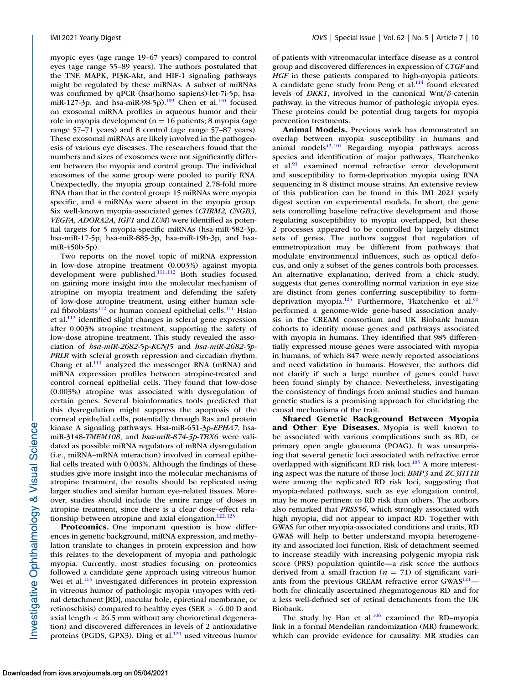myopic eyes (age range 19–67 years) compared to control eyes (age range 55–89 years). The authors postulated that the TNF, MAPK, PI3K-Akt, and HIF-1 signaling pathways might be regulated by these miRNAs. A subset of miRNAs was confirmed by qPCR (hsa(homo sapiens)-let-7i-5p, hsamiR-127-3p, and hsa-miR-98-5p).<sup>109</sup> Chen et al.<sup>110</sup> focused on exosomal miRNA profiles in aqueous humor and their role in myopia development ( $n = 16$  patients; 8 myopia (age range 57–71 years) and 8 control (age range 57–87 years). These exosomal miRNAs are likely involved in the pathogenesis of various eye diseases. The researchers found that the numbers and sizes of exosomes were not significantly different between the myopia and control group. The individual exosomes of the same group were pooled to purify RNA. Unexpectedly, the myopia group contained 2.78-fold more RNA than that in the control group: 15 miRNAs were myopia specific, and 4 miRNAs were absent in the myopia group. Six well-known myopia-associated genes (*CHRM2, CNGB3, VEGFA, ADORA2A, IGF1* and *LUM*) were identified as potential targets for 5 myopia-specific miRNAs (hsa-miR-582-3p, hsa-miR-17-5p, hsa-miR-885-3p, hsa-miR-19b-3p, and hsamiR-450b-5p).

Two reports on the novel topic of miRNA expression in low-dose atropine treatment (0.003%) against myopia development were published.<sup>111,112</sup> Both studies focused on gaining more insight into the molecular mechanism of atropine on myopia treatment and defending the safety of low-dose atropine treatment, using either human scleral fibroblasts $112$  or human corneal epithelial cells.<sup>111</sup> Hsiao et al. $\frac{112}{2}$  identified slight changes in scleral gene expression after 0.003% atropine treatment, supporting the safety of low-dose atropine treatment. This study revealed the association of *hsa-miR-2682-*5p-*KCNJ5* and *hsa-miR-2682-5p*-*PRLR* with scleral growth repression and circadian rhythm. Chang et al. $^{111}$  analyzed the messenger RNA (mRNA) and miRNA expression profiles between atropine-treated and control corneal epithelial cells. They found that low-dose (0.003%) atropine was associated with dysregulation of certain genes. Several bioinformatics tools predicted that this dysregulation might suppress the apoptosis of the corneal epithelial cells, potentially through Ras and protein kinase A signaling pathways. Hsa-miR-651-3p-*EPHA7*, hsamiR-3148-*TMEM108*, and *hsa-miR-874-5p-TBX6* were validated as possible miRNA regulators of mRNA dysregulation (i.e., miRNA–mRNA interaction) involved in corneal epithelial cells treated with 0.003%. Although the findings of these studies give more insight into the molecular mechanisms of atropine treatment, the results should be replicated using larger studies and similar human eye–related tissues. Moreover, studies should include the entire range of doses in atropine treatment, since there is a clear dose–effect relationship between atropine and axial elongation.<sup>122,123</sup>

**Proteomics.** One important question is how differences in genetic background, miRNA expression, and methylation translate to changes in protein expression and how this relates to the development of myopia and pathologic myopia. Currently, most studies focusing on proteomics followed a candidate gene approach using vitreous humor. Wei et al.<sup>113</sup> investigated differences in protein expression in vitreous humor of pathologic myopia (myopes with retinal detachment [RD], macular hole, epiretinal membrane, or retinoschisis) compared to healthy eyes (SER >−6.00 D and axial length < 26.5 mm without any chorioretinal degeneration) and discovered differences in levels of 2 antioxidative proteins (PGDS, GPX3). Ding et al. $120$  used vitreous humor

of patients with vitreomacular interface disease as a control group and discovered differences in expression of *CTGF* and *HGF* in these patients compared to high-myopia patients. A candidate gene study from Peng et al.<sup>114</sup> found elevated levels of *DKK1*, involved in the canonical Wnt/β-catenin pathway, in the vitreous humor of pathologic myopia eyes. These proteins could be potential drug targets for myopia prevention treatments.

**Animal Models.** Previous work has demonstrated an overlap between myopia susceptibility in humans and animal models $42,104$  $42,104$  Regarding myopia pathways across species and identification of major pathways, Tkatchenko et al. $91$  examined normal refractive error development and susceptibility to form-deprivation myopia using RNA sequencing in 8 distinct mouse strains. An extensive review of this publication can be found in this IMI 2021 yearly digest section on experimental models. In short, the gene sets controlling baseline refractive development and those regulating susceptibility to myopia overlapped, but these 2 processes appeared to be controlled by largely distinct sets of genes. The authors suggest that regulation of emmetropization may be different from pathways that modulate environmental influences, such as optical defocus, and only a subset of the genes controls both processes. An alternative explanation, derived from a chick study, suggests that genes controlling normal variation in eye size are distinct from genes conferring susceptibility to formdeprivation myopia.<sup>125</sup> Furthermore, Tkatchenko et al.<sup>91</sup> performed a genome-wide gene-based association analysis in the CREAM consortium and UK Biobank human cohorts to identify mouse genes and pathways associated with myopia in humans. They identified that 985 differentially expressed mouse genes were associated with myopia in humans, of which 847 were newly reported associations and need validation in humans. However, the authors did not clarify if such a large number of genes could have been found simply by chance. Nevertheless, investigating the consistency of findings from animal studies and human genetic studies is a promising approach for elucidating the causal mechanisms of the trait.

**Shared Genetic Background Between Myopia and Other Eye Diseases.** Myopia is well known to be associated with various complications such as RD, or primary open angle glaucoma (POAG). It was unsurprising that several genetic loci associated with refractive error overlapped with significant RD risk loci.<sup>105</sup> A more interesting aspect was the nature of those loci: *BMP3* and *ZC3H11B* were among the replicated RD risk loci, suggesting that myopia-related pathways, such as eye elongation control, may be more pertinent to RD risk than others. The authors also remarked that *PRSS56*, which strongly associated with high myopia, did not appear to impact RD. Together with GWAS for other myopia-associated conditions and traits, RD GWAS will help to better understand myopia heterogeneity and associated loci function. Risk of detachment seemed to increase steadily with increasing polygenic myopia risk score (PRS) population quintile—a risk score the authors derived from a small fraction  $(n = 71)$  of significant variants from the previous CREAM refractive error GWAS<sup>121</sup> both for clinically ascertained rhegmatogenous RD and for a less well-defined set of retinal detachments from the UK Biobank.

The study by Han et al. $106$  examined the RD–myopia link in a formal Mendelian randomization (MR) framework, which can provide evidence for causality. MR studies can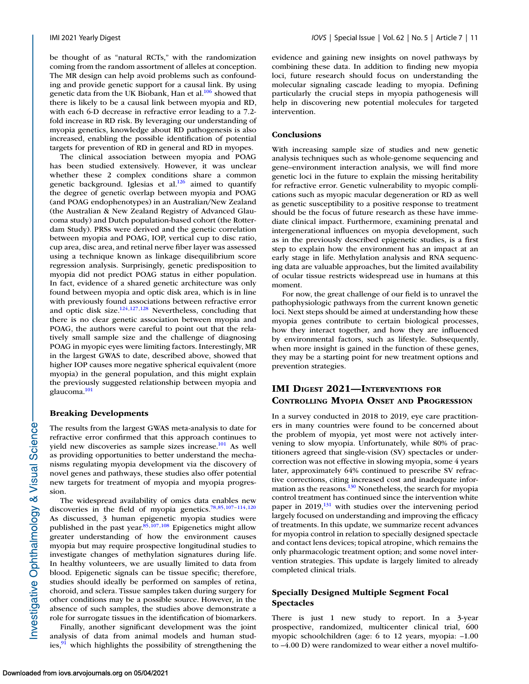be thought of as "natural RCTs," with the randomization coming from the random assortment of alleles at conception. The MR design can help avoid problems such as confounding and provide genetic support for a causal link. By using genetic data from the UK Biobank, Han et al.<sup>106</sup> showed that there is likely to be a causal link between myopia and RD, with each 6-D decrease in refractive error leading to a 7.2 fold increase in RD risk. By leveraging our understanding of myopia genetics, knowledge about RD pathogenesis is also increased, enabling the possible identification of potential targets for prevention of RD in general and RD in myopes.

The clinical association between myopia and POAG has been studied extensively. However, it was unclear whether these 2 complex conditions share a common genetic background. Iglesias et al. $126$  aimed to quantify the degree of genetic overlap between myopia and POAG (and POAG endophenotypes) in an Australian/New Zealand (the Australian & New Zealand Registry of Advanced Glaucoma study) and Dutch population-based cohort (the Rotterdam Study). PRSs were derived and the genetic correlation between myopia and POAG, IOP, vertical cup to disc ratio, cup area, disc area, and retinal nerve fiber layer was assessed using a technique known as linkage disequilibrium score regression analysis. Surprisingly, genetic predisposition to myopia did not predict POAG status in either population. In fact, evidence of a shared genetic architecture was only found between myopia and optic disk area, which is in line with previously found associations between refractive error and optic disk size. $124,127,128$  Nevertheless, concluding that there is no clear genetic association between myopia and POAG, the authors were careful to point out that the relatively small sample size and the challenge of diagnosing POAG in myopic eyes were limiting factors. Interestingly, MR in the largest GWAS to date, described above, showed that higher IOP causes more negative spherical equivalent (more myopia) in the general population, and this might explain the previously suggested relationship between myopia and glaucoma[.101](#page-20-0)

#### **Breaking Developments**

The results from the largest GWAS meta-analysis to date for refractive error confirmed that this approach continues to yield new discoveries as sample sizes increase.<sup>101</sup> As well as providing opportunities to better understand the mechanisms regulating myopia development via the discovery of novel genes and pathways, these studies also offer potential new targets for treatment of myopia and myopia progression.

The widespread availability of omics data enables new discoveries in the field of myopia genetics[.78,85](#page-19-0)[,107–114,120](#page-20-0) As discussed, 3 human epigenetic myopia studies were published in the past year. $85,107,108$  $85,107,108$  Epigenetics might allow greater understanding of how the environment causes myopia but may require prospective longitudinal studies to investigate changes of methylation signatures during life. In healthy volunteers, we are usually limited to data from blood. Epigenetic signals can be tissue specific; therefore, studies should ideally be performed on samples of retina, choroid, and sclera. Tissue samples taken during surgery for other conditions may be a possible source. However, in the absence of such samples, the studies above demonstrate a role for surrogate tissues in the identification of biomarkers.

Finally, another significant development was the joint analysis of data from animal models and human studies, $91$  which highlights the possibility of strengthening the evidence and gaining new insights on novel pathways by combining these data. In addition to finding new myopia loci, future research should focus on understanding the molecular signaling cascade leading to myopia. Defining particularly the crucial steps in myopia pathogenesis will help in discovering new potential molecules for targeted intervention.

#### **Conclusions**

With increasing sample size of studies and new genetic analysis techniques such as whole-genome sequencing and gene–environment interaction analysis, we will find more genetic loci in the future to explain the missing heritability for refractive error. Genetic vulnerability to myopic complications such as myopic macular degeneration or RD as well as genetic susceptibility to a positive response to treatment should be the focus of future research as these have immediate clinical impact. Furthermore, examining prenatal and intergenerational influences on myopia development, such as in the previously described epigenetic studies, is a first step to explain how the environment has an impact at an early stage in life. Methylation analysis and RNA sequencing data are valuable approaches, but the limited availability of ocular tissue restricts widespread use in humans at this moment.

For now, the great challenge of our field is to unravel the pathophysiologic pathways from the current known genetic loci. Next steps should be aimed at understanding how these myopia genes contribute to certain biological processes, how they interact together, and how they are influenced by environmental factors, such as lifestyle. Subsequently, when more insight is gained in the function of these genes, they may be a starting point for new treatment options and prevention strategies.

### **IMI DIGEST 2021—INTERVENTIONS FOR CONTROLLING MYOPIA ONSET AND PROGRESSION**

In a survey conducted in 2018 to 2019, eye care practitioners in many countries were found to be concerned about the problem of myopia, yet most were not actively intervening to slow myopia. Unfortunately, while 80% of practitioners agreed that single-vision (SV) spectacles or undercorrection was not effective in slowing myopia, some 4 years later, approximately 64% continued to prescribe SV refractive corrections, citing increased cost and inadequate information as the reasons. $130$  Nonetheless, the search for myopia control treatment has continued since the intervention white paper in  $2019<sup>131</sup>$  with studies over the intervening period largely focused on understanding and improving the efficacy of treatments. In this update, we summarize recent advances for myopia control in relation to specially designed spectacle and contact lens devices; topical atropine, which remains the only pharmacologic treatment option; and some novel intervention strategies. This update is largely limited to already completed clinical trials.

### **Specially Designed Multiple Segment Focal Spectacles**

There is just 1 new study to report. In a 3-year prospective, randomized, multicenter clinical trial, 600 myopic schoolchildren (age: 6 to 12 years, myopia: –1.00 to –4.00 D) were randomized to wear either a novel multifo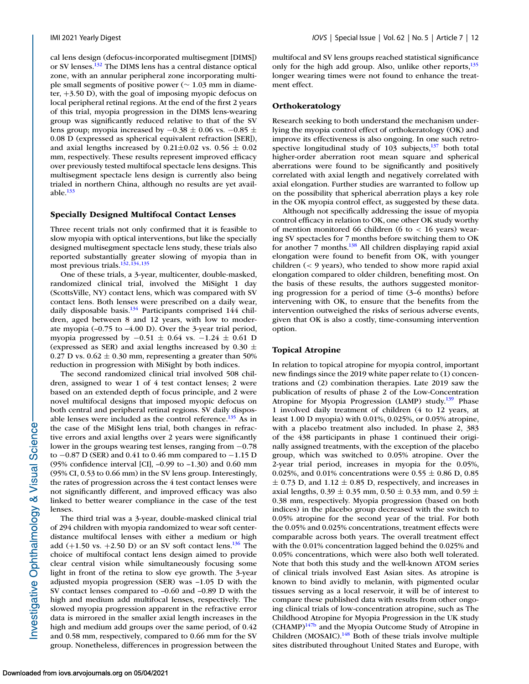cal lens design (defocus-incorporated multisegment [DIMS]) or SV lenses[.132](#page-21-0) The DIMS lens has a central distance optical zone, with an annular peripheral zone incorporating multiple small segments of positive power (∼ 1.03 mm in diameter, +3.50 D), with the goal of imposing myopic defocus on local peripheral retinal regions. At the end of the first 2 years of this trial, myopia progression in the DIMS lens-wearing group was significantly reduced relative to that of the SV lens group; myopia increased by  $-0.38 \pm 0.06$  vs.  $-0.85 \pm 0.06$ 0.08 D (expressed as spherical equivalent refraction [SER]), and axial lengths increased by  $0.21 \pm 0.02$  vs.  $0.56 \pm 0.02$ mm, respectively. These results represent improved efficacy over previously tested multifocal spectacle lens designs. This multisegment spectacle lens design is currently also being trialed in northern China, although no results are yet available. $133$ 

#### **Specially Designed Multifocal Contact Lenses**

Three recent trials not only confirmed that it is feasible to slow myopia with optical interventions, but like the specially designed multisegment spectacle lens study, these trials also reported substantially greater slowing of myopia than in most previous trials.<sup>132,134,135</sup>

One of these trials, a 3-year, multicenter, double-masked, randomized clinical trial, involved the MiSight 1 day (ScottsVille, NY) contact lens, which was compared with SV contact lens. Both lenses were prescribed on a daily wear, daily disposable basis.<sup>134</sup> Participants comprised 144 children, aged between 8 and 12 years, with low to moderate myopia (–0.75 to –4.00 D). Over the 3-year trial period, myopia progressed by −0.51 ± 0.64 vs. −1.24 ± 0.61 D (expressed as SER) and axial lengths increased by 0.30  $\pm$ 0.27 D vs.  $0.62 \pm 0.30$  mm, representing a greater than 50% reduction in progression with MiSight by both indices.

The second randomized clinical trial involved 508 children, assigned to wear 1 of 4 test contact lenses; 2 were based on an extended depth of focus principle, and 2 were novel multifocal designs that imposed myopic defocus on both central and peripheral retinal regions. SV daily disposable lenses were included as the control reference. $135$  As in the case of the MiSight lens trial, both changes in refractive errors and axial lengths over 2 years were significantly lower in the groups wearing test lenses, ranging from −0.78 to −0.87 D (SER) and 0.41 to 0.46 mm compared to −1.15 D (95% confidence interval [CI], –0.99 to –1.30) and 0.60 mm (95% CI, 0.53 to 0.66 mm) in the SV lens group. Interestingly, the rates of progression across the 4 test contact lenses were not significantly different, and improved efficacy was also linked to better wearer compliance in the case of the test lenses.

The third trial was a 3-year, double-masked clinical trial of 294 children with myopia randomized to wear soft centerdistance multifocal lenses with either a medium or high add  $(+1.50 \text{ vs. } +2.50 \text{ D})$  or an SV soft contact lens.<sup>136</sup> The choice of multifocal contact lens design aimed to provide clear central vision while simultaneously focusing some light in front of the retina to slow eye growth. The 3-year adjusted myopia progression (SER) was –1.05 D with the SV contact lenses compared to –0.60 and –0.89 D with the high and medium add multifocal lenses, respectively. The slowed myopia progression apparent in the refractive error data is mirrored in the smaller axial length increases in the high and medium add groups over the same period, of 0.42 and 0.58 mm, respectively, compared to 0.66 mm for the SV group. Nonetheless, differences in progression between the

multifocal and SV lens groups reached statistical significance only for the high add group. Also, unlike other reports,<sup>135</sup> longer wearing times were not found to enhance the treatment effect.

#### **Orthokeratology**

Research seeking to both understand the mechanism underlying the myopia control effect of orthokeratology (OK) and improve its effectiveness is also ongoing. In one such retrospective longitudinal study of  $103$  subjects, $137$  both total higher-order aberration root mean square and spherical aberrations were found to be significantly and positively correlated with axial length and negatively correlated with axial elongation. Further studies are warranted to follow up on the possibility that spherical aberration plays a key role in the OK myopia control effect, as suggested by these data.

Although not specifically addressing the issue of myopia control efficacy in relation to OK, one other OK study worthy of mention monitored 66 children (6 to  $< 16$  years) wearing SV spectacles for 7 months before switching them to OK for another 7 months.<sup>138</sup> All children displaying rapid axial elongation were found to benefit from OK, with younger children (< 9 years), who tended to show more rapid axial elongation compared to older children, benefiting most. On the basis of these results, the authors suggested monitoring progression for a period of time (3–6 months) before intervening with OK, to ensure that the benefits from the intervention outweighed the risks of serious adverse events, given that OK is also a costly, time-consuming intervention option.

#### **Topical Atropine**

In relation to topical atropine for myopia control, important new findings since the 2019 white paper relate to (1) concentrations and (2) combination therapies. Late 2019 saw the publication of results of phase 2 of the Low-Concentration Atropine for Myopia Progression (LAMP) study.<sup>139</sup> Phase 1 involved daily treatment of children (4 to 12 years, at least 1.00 D myopia) with 0.01%, 0.025%, or 0.05% atropine, with a placebo treatment also included. In phase 2, 383 of the 438 participants in phase 1 continued their originally assigned treatments, with the exception of the placebo group, which was switched to 0.05% atropine. Over the 2-year trial period, increases in myopia for the 0.05%, 0.025%, and 0.01% concentrations were 0.55  $\pm$  0.86 D, 0.85  $\pm$  0.73 D, and 1.12  $\pm$  0.85 D, respectively, and increases in axial lengths,  $0.39 \pm 0.35$  mm,  $0.50 \pm 0.33$  mm, and  $0.59 \pm 0.35$ 0.38 mm, respectively. Myopia progression (based on both indices) in the placebo group decreased with the switch to 0.05% atropine for the second year of the trial. For both the 0.05% and 0.025% concentrations, treatment effects were comparable across both years. The overall treatment effect with the 0.01% concentration lagged behind the 0.025% and 0.05% concentrations, which were also both well tolerated. Note that both this study and the well-known ATOM series of clinical trials involved East Asian sites. As atropine is known to bind avidly to melanin, with pigmented ocular tissues serving as a local reservoir, it will be of interest to compare these published data with results from other ongoing clinical trials of low-concentration atropine, such as The Childhood Atropine for Myopia Progression in the UK study  $(CHAMP)^{147b}$  $(CHAMP)^{147b}$  $(CHAMP)^{147b}$  and the Myopia Outcome Study of Atropine in Children (MOSAIC). $148$  Both of these trials involve multiple sites distributed throughout United States and Europe, with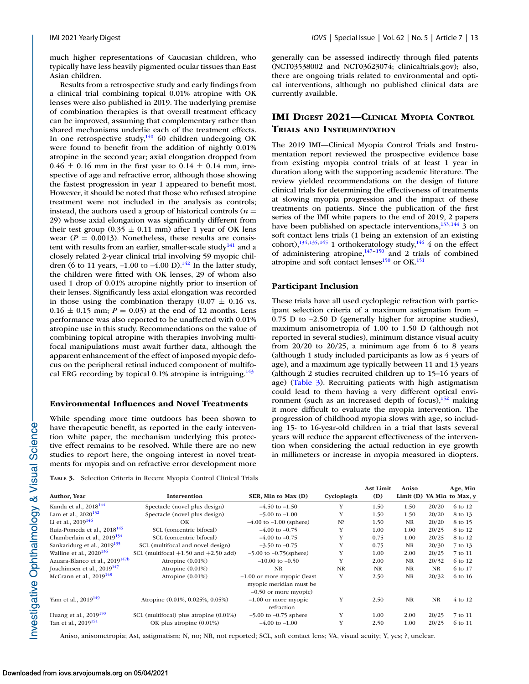much higher representations of Caucasian children, who typically have less heavily pigmented ocular tissues than East Asian children.

Results from a retrospective study and early findings from a clinical trial combining topical 0.01% atropine with OK lenses were also published in 2019. The underlying premise of combination therapies is that overall treatment efficacy can be improved, assuming that complementary rather than shared mechanisms underlie each of the treatment effects. In one retrospective study, $140$  60 children undergoing OK were found to benefit from the addition of nightly 0.01% atropine in the second year; axial elongation dropped from  $0.46 \pm 0.16$  mm in the first year to  $0.14 \pm 0.14$  mm, irrespective of age and refractive error, although those showing the fastest progression in year 1 appeared to benefit most. However, it should be noted that those who refused atropine treatment were not included in the analysis as controls; instead, the authors used a group of historical controls  $(n =$ 29) whose axial elongation was significantly different from their test group  $(0.35 \pm 0.11 \text{ mm})$  after 1 year of OK lens wear ( $P = 0.0013$ ). Nonetheless, these results are consistent with results from an earlier, smaller-scale study $141$  and a closely related 2-year clinical trial involving 59 myopic children (6 to 11 years,  $-1.00$  to  $-4.00$  D).<sup>142</sup> In the latter study, the children were fitted with OK lenses, 29 of whom also used 1 drop of 0.01% atropine nightly prior to insertion of their lenses. Significantly less axial elongation was recorded in those using the combination therapy  $(0.07 \pm 0.16 \text{ vs.})$  $0.16 \pm 0.15$  mm;  $P = 0.03$ ) at the end of 12 months. Lens performance was also reported to be unaffected with 0.01% atropine use in this study. Recommendations on the value of combining topical atropine with therapies involving multifocal manipulations must await further data, although the apparent enhancement of the effect of imposed myopic defocus on the peripheral retinal induced component of multifocal ERG recording by topical 0.1% atropine is intriguing. $143$ 

### **Environmental Influences and Novel Treatments**

While spending more time outdoors has been shown to have therapeutic benefit, as reported in the early intervention white paper, the mechanism underlying this protective effect remains to be resolved. While there are no new studies to report here, the ongoing interest in novel treatments for myopia and on refractive error development more generally can be assessed indirectly through filed patents (NCT03538002 and NCT03623074; clinicaltrials.gov); also, there are ongoing trials related to environmental and optical interventions, although no published clinical data are currently available.

### **IMI DIGEST 2021—CLINICAL MYOPIA CONTROL TRIALS AND INSTRUMENTATION**

The 2019 IMI—Clinical Myopia Control Trials and Instrumentation report reviewed the prospective evidence base from existing myopia control trials of at least 1 year in duration along with the supporting academic literature. The review yielded recommendations on the design of future clinical trials for determining the effectiveness of treatments at slowing myopia progression and the impact of these treatments on patients. Since the publication of the first series of the IMI white papers to the end of 2019, 2 papers have been published on spectacle interventions, $\frac{133,144}{3}$  on soft contact lens trials (1 being an extension of an existing cohort), $134,135,145$  1 orthokeratology study, $146$  4 on the effect of administering atropine, $147-150$  and 2 trials of combined atropine and soft contact lenses $^{150}$  or OK.<sup>151</sup>

#### **Participant Inclusion**

These trials have all used cycloplegic refraction with participant selection criteria of a maximum astigmatism from – 0.75 D to –2.50 D (generally higher for atropine studies), maximum anisometropia of 1.00 to 1.50 D (although not reported in several studies), minimum distance visual acuity from  $20/20$  to  $20/25$ , a minimum age from 6 to 8 years (although 1 study included participants as low as 4 years of age), and a maximum age typically between 11 and 13 years (although 2 studies recruited children up to 15–16 years of age) (Table 3). Recruiting patients with high astigmatism could lead to them having a very different optical environment (such as an increased depth of focus), $152$  making it more difficult to evaluate the myopia intervention. The progression of childhood myopia slows with age, so including 15- to 16-year-old children in a trial that lasts several years will reduce the apparent effectiveness of the intervention when considering the actual reduction in eye growth in millimeters or increase in myopia measured in diopters.

**TABLE 3.** Selection Criteria in Recent Myopia Control Clinical Trials

|                                            |                                          |                               |             | <b>Ast Limit</b> | Aniso     |           | Age, Min                   |
|--------------------------------------------|------------------------------------------|-------------------------------|-------------|------------------|-----------|-----------|----------------------------|
| Author, Year                               | <b>Intervention</b>                      | SER, Min to Max (D)           | Cycloplegia | (D)              |           |           | Limit (D) VA Min to Max, v |
| Kanda et al., 2018 <sup>144</sup>          | Spectacle (novel plus design)            | $-4.50$ to $-1.50$            | Y           | 1.50             | 1.50      | 20/20     | 6 to 12                    |
| Lam et al., $2020^{132}$                   | Spectacle (novel plus design)            | $-5.00$ to $-1.00$            | Y           | 1.50             | 1.50      | 20/20     | 8 to 13                    |
| Li et al., $2019^{146}$                    | OK                                       | $-4.00$ to $-1.00$ (sphere)   | $N$ ?       | 1.50             | <b>NR</b> | 20/20     | 8 to 15                    |
| Ruiz-Pomeda et al., 2018 <sup>145</sup>    | SCL (concentric bifocal)                 | $-4.00$ to $-0.75$            | Y           | 1.00             | 1.00      | 20/25     | 8 to 12                    |
| Chamberlain et al., $2019^{134}$           | SCL (concentric bifocal)                 | $-4.00$ to $-0.75$            | Y           | 0.75             | 1.00      | 20/25     | 8 to 12                    |
| Sankaridurg et al., 2019 <sup>135</sup>    | SCL (multifocal and novel design)        | $-3.50$ to $-0.75$            | Y           | 0.75             | <b>NR</b> | 20/30     | 7 to 13                    |
| Walline et al., $2020^{136}$               | SCL (multifocal $+1.50$ and $+2.50$ add) | $-5.00$ to $-0.75$ (sphere)   | Y           | 1.00             | 2.00      | 20/25     | 7 to 11                    |
| Azuara-Blanco et al., 2019 <sup>147b</sup> | Atropine $(0.01\%)$                      | $-10.00$ to $-0.50$           | Y           | 2.00             | <b>NR</b> | 20/32     | 6 to 12                    |
| Joachimsen et al., 2019 <sup>147</sup>     | Atropine $(0.01\%)$                      | <b>NR</b>                     | <b>NR</b>   | NR               | <b>NR</b> | NR        | 6 to 17                    |
| McCrann et al., $2019^{148}$               | Atropine $(0.01\%)$                      | $-1.00$ or more myopic (least | Y           | 2.50             | <b>NR</b> | 20/32     | 6 to 16                    |
|                                            |                                          | myopic meridian must be       |             |                  |           |           |                            |
|                                            |                                          | $-0.50$ or more myopic)       |             |                  |           |           |                            |
| Yam et al., 2019 <sup>149</sup>            | Atropine (0.01%, 0.025%, 0.05%)          | $-1.00$ or more myopic        | Y           | 2.50             | <b>NR</b> | <b>NR</b> | 4 to 12                    |
|                                            |                                          | refraction                    |             |                  |           |           |                            |
| Huang et al., $2019^{150}$                 | SCL (multifocal) plus atropine (0.01%)   | $-5.00$ to $-0.75$ sphere     | Y           | 1.00             | 2.00      | 20/25     | 7 to 11                    |
| Tan et al., 2019 <sup>151</sup>            | OK plus atropine (0.01%)                 | $-4.00$ to $-1.00$            | Y           | 2.50             | 1.00      | 20/25     | 6 to 11                    |

Aniso, anisometropia; Ast, astigmatism; N, no; NR, not reported; SCL, soft contact lens; VA, visual acuity; Y, yes; ?, unclear.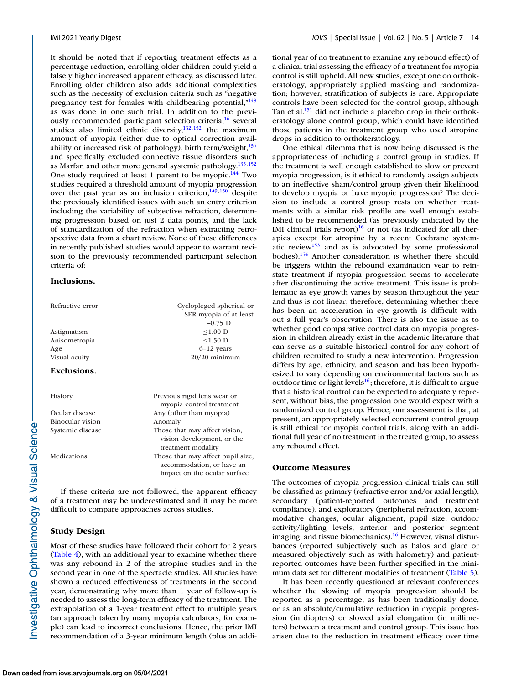It should be noted that if reporting treatment effects as a percentage reduction, enrolling older children could yield a falsely higher increased apparent efficacy, as discussed later. Enrolling older children also adds additional complexities such as the necessity of exclusion criteria such as "negative pregnancy test for females with childbearing potential,"<sup>148</sup> as was done in one such trial. In addition to the previously recommended participant selection criteria,<sup>16</sup> several studies also limited ethnic diversity, $132,152$  the maximum amount of myopia (either due to optical correction availability or increased risk of pathology), birth term/weight, $134$ and specifically excluded connective tissue disorders such as Marfan and other more general systemic pathology[.135,152](#page-21-0) One study required at least 1 parent to be myopic.<sup>144</sup> Two studies required a threshold amount of myopia progression over the past year as an inclusion criterion, $149,150$  despite the previously identified issues with such an entry criterion including the variability of subjective refraction, determining progression based on just 2 data points, and the lack of standardization of the refraction when extracting retrospective data from a chart review. None of these differences in recently published studies would appear to warrant revision to the previously recommended participant selection criteria of:

#### **Inclusions.**

| Refractive error | Cyclopleged spherical or<br>SER myopia of at least<br>$-0.75$ D                                |
|------------------|------------------------------------------------------------------------------------------------|
| Astigmatism      | $< 1.00$ D                                                                                     |
| Anisometropia    | $\leq$ 1.50 D                                                                                  |
| Age              | $6-12$ years                                                                                   |
| Visual acuity    | $20/20$ minimum                                                                                |
| Exclusions.      |                                                                                                |
| History          | Previous rigid lens wear or<br>myopia control treatment                                        |
| Ocular disease   | Any (other than myopia)                                                                        |
| Binocular vision | Anomaly                                                                                        |
| Systemic disease | Those that may affect vision,<br>vision development, or the<br>treatment modality              |
| Medications      | Those that may affect pupil size,<br>accommodation, or have an<br>impact on the ocular surface |
|                  |                                                                                                |

If these criteria are not followed, the apparent efficacy of a treatment may be underestimated and it may be more difficult to compare approaches across studies.

### **Study Design**

Most of these studies have followed their cohort for 2 years [\(Table 4\)](#page-14-0), with an additional year to examine whether there was any rebound in 2 of the atropine studies and in the second year in one of the spectacle studies. All studies have shown a reduced effectiveness of treatments in the second year, demonstrating why more than 1 year of follow-up is needed to assess the long-term efficacy of the treatment. The extrapolation of a 1-year treatment effect to multiple years (an approach taken by many myopia calculators, for example) can lead to incorrect conclusions. Hence, the prior IMI recommendation of a 3-year minimum length (plus an additional year of no treatment to examine any rebound effect) of a clinical trial assessing the efficacy of a treatment for myopia control is still upheld. All new studies, except one on orthokeratology, appropriately applied masking and randomization; however, stratification of subjects is rare. Appropriate controls have been selected for the control group, although Tan et al.<sup>151</sup> did not include a placebo drop in their orthokeratology alone control group, which could have identified those patients in the treatment group who used atropine drops in addition to orthokeratology.

One ethical dilemma that is now being discussed is the appropriateness of including a control group in studies. If the treatment is well enough established to slow or prevent myopia progression, is it ethical to randomly assign subjects to an ineffective sham/control group given their likelihood to develop myopia or have myopic progression? The decision to include a control group rests on whether treatments with a similar risk profile are well enough established to be recommended (as previously indicated by the IMI clinical trials report) $16$  or not (as indicated for all therapies except for atropine by a recent Cochrane systematic revie[w153](#page-21-0) and as is advocated by some professional bodies)[.154](#page-21-0) Another consideration is whether there should be triggers within the rebound examination year to reinstate treatment if myopia progression seems to accelerate after discontinuing the active treatment. This issue is problematic as eye growth varies by season throughout the year and thus is not linear; therefore, determining whether there has been an acceleration in eye growth is difficult without a full year's observation. There is also the issue as to whether good comparative control data on myopia progression in children already exist in the academic literature that can serve as a suitable historical control for any cohort of children recruited to study a new intervention. Progression differs by age, ethnicity, and season and has been hypothesized to vary depending on environmental factors such as outdoor time or light levels<sup>16</sup>; therefore, it is difficult to argue that a historical control can be expected to adequately represent, without bias, the progression one would expect with a randomized control group. Hence, our assessment is that, at present, an appropriately selected concurrent control group is still ethical for myopia control trials, along with an additional full year of no treatment in the treated group, to assess any rebound effect.

#### **Outcome Measures**

The outcomes of myopia progression clinical trials can still be classified as primary (refractive error and/or axial length), secondary (patient-reported outcomes and treatment compliance), and exploratory (peripheral refraction, accommodative changes, ocular alignment, pupil size, outdoor activity/lighting levels, anterior and posterior segment imaging, and tissue biomechanics).<sup>16</sup> However, visual disturbances (reported subjectively such as halos and glare or measured objectively such as with halometry) and patientreported outcomes have been further specified in the minimum data set for different modalities of treatment [\(Table 5\)](#page-14-0).

It has been recently questioned at relevant conferences whether the slowing of myopia progression should be reported as a percentage, as has been traditionally done, or as an absolute/cumulative reduction in myopia progression (in diopters) or slowed axial elongation (in millimeters) between a treatment and control group. This issue has arisen due to the reduction in treatment efficacy over time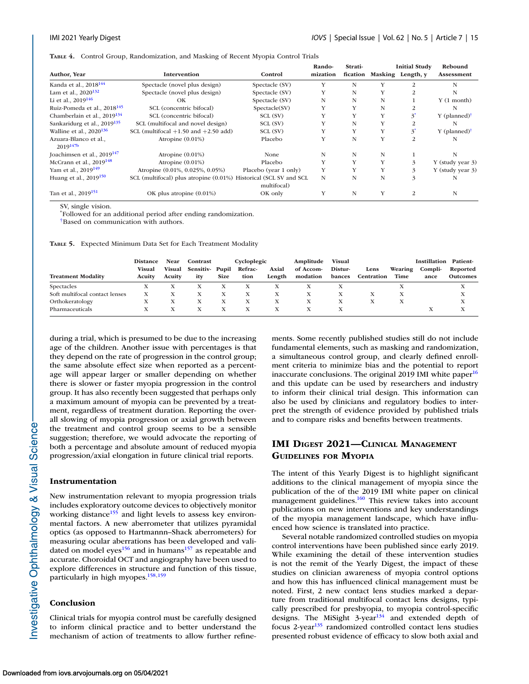<span id="page-14-0"></span>**TABLE 4.** Control Group, Randomization, and Masking of Recent Myopia Control Trials

| Author, Year                            | Intervention                                                      | Control               | Rando-<br>mization | Strati- |   | <b>Initial Study</b><br>fication Masking Length, y | Rebound<br>Assessment      |
|-----------------------------------------|-------------------------------------------------------------------|-----------------------|--------------------|---------|---|----------------------------------------------------|----------------------------|
|                                         |                                                                   |                       |                    |         |   |                                                    |                            |
| Kanda et al., 2018 <sup>144</sup>       | Spectacle (novel plus design)                                     | Spectacle (SV)        | Y                  | N       | Y | 2                                                  | N                          |
| Lam et al., $2020^{132}$                | Spectacle (novel plus design)                                     | Spectacle (SV)        | Y                  | N       | Y | 2                                                  | N                          |
| Li et al., $2019^{146}$                 | OK                                                                | Spectacle (SV)        | N                  | N       | N |                                                    | $Y(1$ month)               |
| Ruiz-Pomeda et al., 2018 <sup>145</sup> | SCL (concentric bifocal)                                          | Spectacle(SV)         | Y                  | Y       | N |                                                    | N                          |
| Chamberlain et al., 2019 <sup>134</sup> | SCL (concentric bifocal)                                          | SCL (SV)              | Y                  | Y       | Y | $\mathbf{3}^{\prime}$                              | $Y$ (planned) <sup>†</sup> |
| Sankaridurg et al., 2019 <sup>135</sup> | SCL (multifocal and novel design)                                 | SCL (SV)              |                    | N       | Y |                                                    | N                          |
| Walline et al., $2020^{136}$            | SCL (multifocal $+1.50$ and $+2.50$ add)                          | SCL (SV)              |                    | Y       | Y | $3^{\circ}$                                        | $Y$ (planned) <sup>†</sup> |
| Azuara-Blanco et al.,<br>$2019^{147b}$  | Atropine $(0.01\%)$                                               | Placebo               | Y                  | N       | Y | 2                                                  | N                          |
| Joachimsen et al., $2019^{147}$         | Atropine $(0.01\%)$                                               | None                  | N                  | N       | N |                                                    | N                          |
| McCrann et al., $2019^{148}$            | Atropine $(0.01\%)$                                               | Placebo               | Y                  | Y       | Y | 3                                                  | Y (study year 3)           |
| Yam et al., $2019^{149}$                | Atropine (0.01%, 0.025%, 0.05%)                                   | Placebo (year 1 only) | Y                  | Y       | Y | 3                                                  | Y (study year 3)           |
| Huang et al., $2019^{150}$              | SCL (multifocal) plus atropine (0.01%) Historical (SCL SV and SCL | multifocal)           | N                  | N       | N | 3                                                  | N                          |
| Tan et al., 2019 <sup>151</sup>         | OK plus atropine (0.01%)                                          | OK only               |                    | N       | Y | $\overline{2}$                                     | N                          |

SV, single vision.

\* Followed for an additional period after ending randomization.

†Based on communication with authors.

**TABLE 5.** Expected Minimum Data Set for Each Treatment Modality

|                                | <b>Distance</b> | Near          | Contrast       |             | Cycloplegic |        | Amplitude | Visual  |            |         | <b>Instillation</b> | Patient-        |
|--------------------------------|-----------------|---------------|----------------|-------------|-------------|--------|-----------|---------|------------|---------|---------------------|-----------------|
|                                | <b>Visual</b>   | <b>Visual</b> | Sensitiv-Pupil |             | Refrac-     | Axial  | of Accom- | Distur- | Lens       | Wearing | Compli-             | Reported        |
| <b>Treatment Modality</b>      | Acuity          | Acuity        | itv            | <b>Size</b> | tion        | Length | modation  | bances  | Centration | Time    | ance                | <b>Outcomes</b> |
| Spectacles                     |                 |               |                |             |             |        |           |         |            |         |                     |                 |
| Soft multifocal contact lenses |                 |               |                | х           |             |        | X         |         |            |         |                     | A               |
| Orthokeratology                |                 |               | х              | л           |             |        |           |         |            |         |                     | A               |
| Pharmaceuticals                |                 |               |                |             |             |        |           |         |            |         |                     |                 |

during a trial, which is presumed to be due to the increasing age of the children. Another issue with percentages is that they depend on the rate of progression in the control group; the same absolute effect size when reported as a percentage will appear larger or smaller depending on whether there is slower or faster myopia progression in the control group. It has also recently been suggested that perhaps only a maximum amount of myopia can be prevented by a treatment, regardless of treatment duration. Reporting the overall slowing of myopia progression or axial growth between the treatment and control group seems to be a sensible suggestion; therefore, we would advocate the reporting of both a percentage and absolute amount of reduced myopia progression/axial elongation in future clinical trial reports.

#### **Instrumentation**

New instrumentation relevant to myopia progression trials includes exploratory outcome devices to objectively monitor working distance<sup>155</sup> and light levels to assess key environmental factors. A new aberrometer that utilizes pyramidal optics (as opposed to Hartmannn–Shack aberrometers) for measuring ocular aberrations has been developed and validated on model eyes<sup>156</sup> and in humans<sup>157</sup> as repeatable and accurate. Choroidal OCT and angiography have been used to explore differences in structure and function of this tissue, particularly in high myopes.<sup>158,159</sup>

#### **Conclusion**

Investigative Ophthalmology & Visual Science

Clinical trials for myopia control must be carefully designed to inform clinical practice and to better understand the mechanism of action of treatments to allow further refinements. Some recently published studies still do not include fundamental elements, such as masking and randomization, a simultaneous control group, and clearly defined enrollment criteria to minimize bias and the potential to report inaccurate conclusions. The original 2019 IMI white paper $16$ and this update can be used by researchers and industry to inform their clinical trial design. This information can also be used by clinicians and regulatory bodies to interpret the strength of evidence provided by published trials and to compare risks and benefits between treatments.

### **IMI DIGEST 2021—CLINICAL MANAGEMENT GUIDELINES FOR MYOPIA**

The intent of this Yearly Digest is to highlight significant additions to the clinical management of myopia since the publication of the of the 2019 IMI white paper on clinical management guidelines.<sup>160</sup> This review takes into account publications on new interventions and key understandings of the myopia management landscape, which have influenced how science is translated into practice.

Several notable randomized controlled studies on myopia control interventions have been published since early 2019. While examining the detail of these intervention studies is not the remit of the Yearly Digest, the impact of these studies on clinician awareness of myopia control options and how this has influenced clinical management must be noted. First, 2 new contact lens studies marked a departure from traditional multifocal contact lens designs, typically prescribed for presbyopia, to myopia control-specific designs. The MiSight  $3$ -year<sup>[134](#page-21-0)</sup> and extended depth of focus 2-year<sup>[135](#page-21-0)</sup> randomized controlled contact lens studies presented robust evidence of efficacy to slow both axial and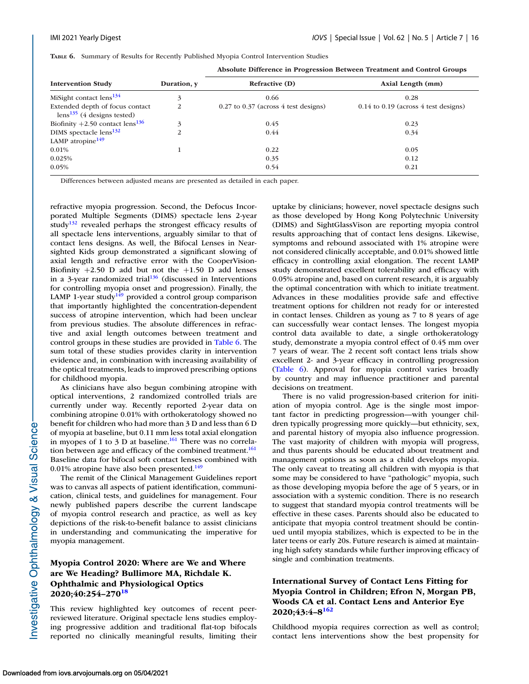|  | TABLE 6. Summary of Results for Recently Published Myopia Control Intervention Studies |  |  |  |  |  |  |  |
|--|----------------------------------------------------------------------------------------|--|--|--|--|--|--|--|
|--|----------------------------------------------------------------------------------------|--|--|--|--|--|--|--|

|                                                                    |             | Absolute Difference in Progression between freatment and Control Groups |                                          |  |  |  |  |
|--------------------------------------------------------------------|-------------|-------------------------------------------------------------------------|------------------------------------------|--|--|--|--|
| <b>Intervention Study</b>                                          | Duration, y | <b>Refractive (D)</b>                                                   | Axial Length (mm)                        |  |  |  |  |
| MiSight contact $lens^{134}$                                       | 3           | 0.66                                                                    | 0.28                                     |  |  |  |  |
| Extended depth of focus contact<br>$lens^{135}$ (4 designs tested) | 2           | $0.27$ to $0.37$ (across 4 test designs)                                | $0.14$ to $0.19$ (across 4 test designs) |  |  |  |  |
| Biofinity +2.50 contact $lens^{136}$                               | 3           | 0.45                                                                    | 0.23                                     |  |  |  |  |
| DIMS spectacle lens <sup>132</sup>                                 | 2           | 0.44                                                                    | 0.34                                     |  |  |  |  |
| LAMP atropine $149$                                                |             |                                                                         |                                          |  |  |  |  |
| $0.01\%$                                                           |             | 0.22                                                                    | 0.05                                     |  |  |  |  |
| 0.025%                                                             |             | 0.35                                                                    | 0.12                                     |  |  |  |  |
| 0.05%                                                              |             | 0.54                                                                    | 0.21                                     |  |  |  |  |
|                                                                    |             |                                                                         |                                          |  |  |  |  |

**Absolute Difference in Progression Between Treatment and Control Groups**

Differences between adjusted means are presented as detailed in each paper.

refractive myopia progression. Second, the Defocus Incorporated Multiple Segments (DIMS) spectacle lens 2-year study $132$  revealed perhaps the strongest efficacy results of all spectacle lens interventions, arguably similar to that of contact lens designs. As well, the Bifocal Lenses in Nearsighted Kids group demonstrated a significant slowing of axial length and refractive error with the CooperVision-Biofinity  $+2.50$  D add but not the  $+1.50$  D add lenses in a 3-year randomized trial $136$  (discussed in Interventions for controlling myopia onset and progression). Finally, the LAMP 1-year study<sup>149</sup> provided a control group comparison that importantly highlighted the concentration-dependent success of atropine intervention, which had been unclear from previous studies. The absolute differences in refractive and axial length outcomes between treatment and control groups in these studies are provided in Table 6. The sum total of these studies provides clarity in intervention evidence and, in combination with increasing availability of the optical treatments, leads to improved prescribing options for childhood myopia.

As clinicians have also begun combining atropine with optical interventions, 2 randomized controlled trials are currently under way. Recently reported 2-year data on combining atropine 0.01% with orthokeratology showed no benefit for children who had more than 3 D and less than 6 D of myopia at baseline, but 0.11 mm less total axial elongation in myopes of 1 to 3 D at baseline.<sup>161</sup> There was no correlation between age and efficacy of the combined treatment.<sup>161</sup> Baseline data for bifocal soft contact lenses combined with 0.01% atropine have also been presented.<sup>149</sup>

The remit of the Clinical Management Guidelines report was to canvas all aspects of patient identification, communication, clinical tests, and guidelines for management. Four newly published papers describe the current landscape of myopia control research and practice, as well as key depictions of the risk-to-benefit balance to assist clinicians in understanding and communicating the imperative for myopia management.

## **Myopia Control 2020: Where are We and Where are We Heading? Bullimore MA, Richdale K. Ophthalmic and Physiological Optics 2020;40:254–270[18](#page-17-0)**

This review highlighted key outcomes of recent peerreviewed literature. Original spectacle lens studies employing progressive addition and traditional flat-top bifocals reported no clinically meaningful results, limiting their uptake by clinicians; however, novel spectacle designs such as those developed by Hong Kong Polytechnic University (DIMS) and SightGlassVison are reporting myopia control results approaching that of contact lens designs. Likewise, symptoms and rebound associated with 1% atropine were not considered clinically acceptable, and 0.01% showed little efficacy in controlling axial elongation. The recent LAMP study demonstrated excellent tolerability and efficacy with 0.05% atropine and, based on current research, it is arguably the optimal concentration with which to initiate treatment. Advances in these modalities provide safe and effective treatment options for children not ready for or interested in contact lenses. Children as young as 7 to 8 years of age can successfully wear contact lenses. The longest myopia control data available to date, a single orthokeratology study, demonstrate a myopia control effect of 0.45 mm over 7 years of wear. The 2 recent soft contact lens trials show excellent 2- and 3-year efficacy in controlling progression (Table 6). Approval for myopia control varies broadly by country and may influence practitioner and parental decisions on treatment.

There is no valid progression-based criterion for initiation of myopia control. Age is the single most important factor in predicting progression—with younger children typically progressing more quickly—but ethnicity, sex, and parental history of myopia also influence progression. The vast majority of children with myopia will progress, and thus parents should be educated about treatment and management options as soon as a child develops myopia. The only caveat to treating all children with myopia is that some may be considered to have "pathologic" myopia, such as those developing myopia before the age of 5 years, or in association with a systemic condition. There is no research to suggest that standard myopia control treatments will be effective in these cases. Parents should also be educated to anticipate that myopia control treatment should be continued until myopia stabilizes, which is expected to be in the later teens or early 20s. Future research is aimed at maintaining high safety standards while further improving efficacy of single and combination treatments.

### **International Survey of Contact Lens Fitting for Myopia Control in Children; Efron N, Morgan PB, Woods CA et al. Contact Lens and Anterior Eye 2020;43:4–8[162](#page-21-0)**

Childhood myopia requires correction as well as control; contact lens interventions show the best propensity for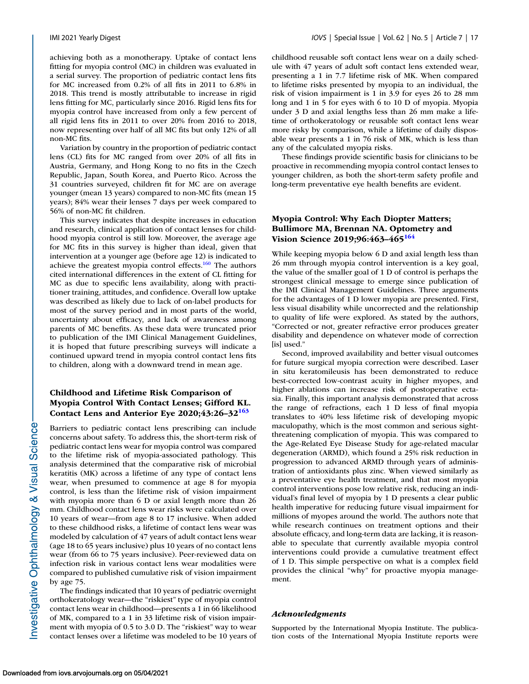achieving both as a monotherapy. Uptake of contact lens fitting for myopia control (MC) in children was evaluated in a serial survey. The proportion of pediatric contact lens fits for MC increased from 0.2% of all fits in 2011 to 6.8% in 2018. This trend is mostly attributable to increase in rigid lens fitting for MC, particularly since 2016. Rigid lens fits for myopia control have increased from only a few percent of all rigid lens fits in 2011 to over 20% from 2016 to 2018, now representing over half of all MC fits but only 12% of all non-MC fits.

Variation by country in the proportion of pediatric contact lens (CL) fits for MC ranged from over 20% of all fits in Austria, Germany, and Hong Kong to no fits in the Czech Republic, Japan, South Korea, and Puerto Rico. Across the 31 countries surveyed, children fit for MC are on average younger (mean 13 years) compared to non-MC fits (mean 15 years); 84% wear their lenses 7 days per week compared to 56% of non-MC fit children.

This survey indicates that despite increases in education and research, clinical application of contact lenses for childhood myopia control is still low. Moreover, the average age for MC fits in this survey is higher than ideal, given that intervention at a younger age (before age 12) is indicated to achieve the greatest myopia control effects.<sup>160</sup> The authors cited international differences in the extent of CL fitting for MC as due to specific lens availability, along with practitioner training, attitudes, and confidence. Overall low uptake was described as likely due to lack of on-label products for most of the survey period and in most parts of the world, uncertainty about efficacy, and lack of awareness among parents of MC benefits. As these data were truncated prior to publication of the IMI Clinical Management Guidelines, it is hoped that future prescribing surveys will indicate a continued upward trend in myopia control contact lens fits to children, along with a downward trend in mean age.

### **Childhood and Lifetime Risk Comparison of Myopia Control With Contact Lenses; Gifford KL. Contact Lens and Anterior Eye 2020;43:26–32[163](#page-21-0)**

Barriers to pediatric contact lens prescribing can include concerns about safety. To address this, the short-term risk of pediatric contact lens wear for myopia control was compared to the lifetime risk of myopia-associated pathology. This analysis determined that the comparative risk of microbial keratitis (MK) across a lifetime of any type of contact lens wear, when presumed to commence at age 8 for myopia control, is less than the lifetime risk of vision impairment with myopia more than 6 D or axial length more than 26 mm. Childhood contact lens wear risks were calculated over 10 years of wear—from age 8 to 17 inclusive. When added to these childhood risks, a lifetime of contact lens wear was modeled by calculation of 47 years of adult contact lens wear (age 18 to 65 years inclusive) plus 10 years of no contact lens wear (from 66 to 75 years inclusive). Peer-reviewed data on infection risk in various contact lens wear modalities were compared to published cumulative risk of vision impairment by age 75. The findings indicated that 10 years of pediatric overnight

orthokeratology wear—the "riskiest" type of myopia control contact lens wear in childhood—presents a 1 in 66 likelihood of MK, compared to a 1 in 33 lifetime risk of vision impairment with myopia of 0.5 to 3.0 D. The "riskiest" way to wear contact lenses over a lifetime was modeled to be 10 years of childhood reusable soft contact lens wear on a daily schedule with 47 years of adult soft contact lens extended wear, presenting a 1 in 7.7 lifetime risk of MK. When compared to lifetime risks presented by myopia to an individual, the risk of vision impairment is 1 in 3.9 for eyes 26 to 28 mm long and 1 in 5 for eyes with 6 to 10 D of myopia. Myopia under 3 D and axial lengths less than 26 mm make a lifetime of orthokeratology or reusable soft contact lens wear more risky by comparison, while a lifetime of daily disposable wear presents a 1 in 76 risk of MK, which is less than any of the calculated myopia risks.

These findings provide scientific basis for clinicians to be proactive in recommending myopia control contact lenses to younger children, as both the short-term safety profile and long-term preventative eye health benefits are evident.

### **Myopia Control: Why Each Diopter Matters; Bullimore MA, Brennan NA. Optometry and Vision Science 2019;96:463–46[5164](#page-21-0)**

While keeping myopia below 6 D and axial length less than 26 mm through myopia control intervention is a key goal, the value of the smaller goal of 1 D of control is perhaps the strongest clinical message to emerge since publication of the IMI Clinical Management Guidelines. Three arguments for the advantages of 1 D lower myopia are presented. First, less visual disability while uncorrected and the relationship to quality of life were explored. As stated by the authors, "Corrected or not, greater refractive error produces greater disability and dependence on whatever mode of correction [is] used."

Second, improved availability and better visual outcomes for future surgical myopia correction were described. Laser in situ keratomileusis has been demonstrated to reduce best-corrected low-contrast acuity in higher myopes, and higher ablations can increase risk of postoperative ectasia. Finally, this important analysis demonstrated that across the range of refractions, each 1 D less of final myopia translates to 40% less lifetime risk of developing myopic maculopathy, which is the most common and serious sightthreatening complication of myopia. This was compared to the Age-Related Eye Disease Study for age-related macular degeneration (ARMD), which found a 25% risk reduction in progression to advanced ARMD through years of administration of antioxidants plus zinc. When viewed similarly as a preventative eye health treatment, and that most myopia control interventions pose low relative risk, reducing an individual's final level of myopia by 1 D presents a clear public health imperative for reducing future visual impairment for millions of myopes around the world. The authors note that while research continues on treatment options and their absolute efficacy, and long-term data are lacking, it is reasonable to speculate that currently available myopia control interventions could provide a cumulative treatment effect of 1 D. This simple perspective on what is a complex field provides the clinical "why" for proactive myopia management.

#### *Acknowledgments*

Supported by the International Myopia Institute. The publication costs of the International Myopia Institute reports were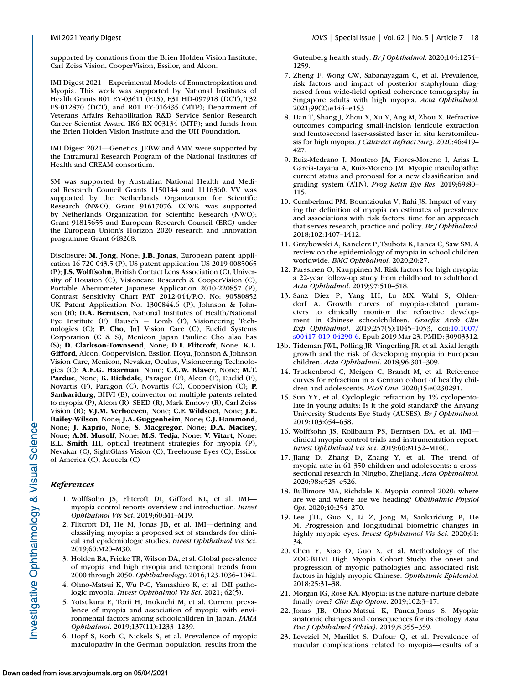<span id="page-17-0"></span>supported by donations from the Brien Holden Vision Institute, Carl Zeiss Vision, CooperVision, Essilor, and Alcon.

IMI Digest 2021—Experimental Models of Emmetropization and Myopia. This work was supported by National Institutes of Health Grants R01 EY-03611 (ELS), F31 HD-097918 (DCT), T32 ES-012870 (DCT), and R01 EY-016435 (MTP); Department of Veterans Affairs Rehabilitation R&D Service Senior Research Career Scientist Award IK6 RX-003134 (MTP); and funds from the Brien Holden Vision Institute and the UH Foundation.

IMI Digest 2021—Genetics. JEBW and AMM were supported by the Intramural Research Program of the National Institutes of Health and CREAM consortium.

SM was supported by Australian National Health and Medical Research Council Grants 1150144 and 1116360. VV was supported by the Netherlands Organization for Scientific Research (NWO); Grant 91617076. CCWK was supported by Netherlands Organization for Scientific Research (NWO); Grant 91815655 and European Research Council (ERC) under the European Union's Horizon 2020 research and innovation programme Grant 648268.

Disclosure: **M. Jong**, None; **J.B. Jonas**, European patent application 16 720 043.5 (P), US patent application US 2019 0085065 (P); **J.S. Wolffsohn**, British Contact Lens Association (C), University of Houston (C), Visioncare Research & CooperVision (C), Portable Aberrometer Japanese Application 2010-220857 (P), Contrast Sensitivity Chart PAT 2012-044/P.O. No: 90580852 UK Patent Application No. 1300844.6 (P), Johnson & Johnson (R); **D.A. Berntsen**, National Institutes of Health/National Eye Institute (F), Bausch + Lomb (F), Visioneering Technologies (C); **P. Cho**, JnJ Vision Care (C), Euclid Systems Corporation (C & S), Menicon Japan Pauline Cho also has (S); **D. Clarkson-Townsend**, None; **D.I. Flitcroft**, None; **K.L. Gifford**, Alcon, Coopervision, Essilor, Hoya, Johnson & Johnson Vision Care, Menicon, Nevakar, Oculus, Visioneering Technologies (C); **A.E.G. Haarman**, None; **C.C.W. Klaver**, None; **M.T. Pardue**, None; **K. Richdale**, Paragon (F), Alcon (F), Euclid (F), Novartis (F), Paragon (C), Novartis (C), CooperVision (C); **P. Sankaridurg**, BHVI (E), coinventor on multiple patents related to myopia (P), Alcon (R), SEED (R), Mark Ennovy (R), Carl Zeiss Vision (R); **V.J.M. Verhoeven**, None; **C.F. Wildsoet**, None; **J.E. Bailey-Wilson**, None; **J.A. Guggenheim**, None; **C.J. Hammond**, None; **J. Kaprio**, None; **S. Macgregor**, None; **D.A. Mackey**, None; **A.M. Musolf**, None; **M.S. Tedja**, None; **V. Vitart**, None; **E.L. Smith III**, optical treatment strategies for myopia (P), Nevakar (C), SightGlass Vision (C), Treehouse Eyes (C), Essilor of America (C), Acucela (C)

#### *References*

- 1. Wolffsohn JS, Flitcroft DI, Gifford KL, et al. IMI myopia control reports overview and introduction. *Invest Ophthalmol Vis Sci*. 2019;60:M1–M19.
- 2. Flitcroft DI, He M, Jonas JB, et al. IMI—defining and classifying myopia: a proposed set of standards for clinical and epidemiologic studies. *Invest Ophthalmol Vis Sci*. 2019;60:M20–M30.
- 3. Holden BA, Fricke TR, Wilson DA, et al. Global prevalence of myopia and high myopia and temporal trends from 2000 through 2050. *Ophthalmology*. 2016;123:1036–1042.
- 4. Ohno-Matsui K, Wu P-C, Yamashiro K, et al. IMI pathologic myopia. *Invest Ophthalmol Vis Sci*. 2021; 62(5).
- 5. Yotsukura E, Torii H, Inokuchi M, et al. Current prevalence of myopia and association of myopia with environmental factors among schoolchildren in Japan. *JAMA Ophthalmol*. 2019;137(11):1233–1239.
- 6. Hopf S, Korb C, Nickels S, et al. Prevalence of myopic maculopathy in the German population: results from the

Gutenberg health study. *Br J Ophthalmol*. 2020;104:1254– 1259.

- 7. Zheng F, Wong CW, Sabanayagam C, et al. Prevalence, risk factors and impact of posterior staphyloma diagnosed from wide-field optical coherence tomography in Singapore adults with high myopia. *Acta Ophthalmol*. 2021;99(2):e144–e153
- 8. Han T, Shang J, Zhou X, Xu Y, Ang M, Zhou X. Refractive outcomes comparing small-incision lenticule extraction and femtosecond laser-assisted laser in situ keratomileusis for high myopia. *J Cataract Refract Surg*. 2020;46:419– 427.
- 9. Ruiz-Medrano J, Montero JA, Flores-Moreno I, Arias L, Garcia-Layana A, Ruiz-Moreno JM. Myopic maculopathy: current status and proposal for a new classification and grading system (ATN). *Prog Retin Eye Res*. 2019;69:80– 115.
- 10. Cumberland PM, Bountziouka V, Rahi JS. Impact of varying the definition of myopia on estimates of prevalence and associations with risk factors: time for an approach that serves research, practice and policy. *Br J Ophthalmol*. 2018;102:1407–1412.
- 11. Grzybowski A, Kanclerz P, Tsubota K, Lanca C, Saw SM. A review on the epidemiology of myopia in school children worldwide. *BMC Ophthalmol*. 2020;20:27.
- 12. Parssinen O, Kauppinen M. Risk factors for high myopia: a 22-year follow-up study from childhood to adulthood. *Acta Ophthalmol*. 2019;97:510–518.
- 13. Sanz Diez P, Yang LH, Lu MX, Wahl S, Ohlendorf A. Growth curves of myopia-related parameters to clinically monitor the refractive development in Chinese schoolchildren. *Graefes Arch Clin Exp Ophthalmol*. 2019;257(5):1045–1053, doi:10.1007/ [s00417-019-04290-6. Epub 2019 Mar 23. PMID: 30903312.](https://doi.org/10.1007/s00417-019-04290-6)
- 13b. Tideman JWL, Polling JR, Vingerling JR, et al. Axial length growth and the risk of developing myopia in European children. *Acta Ophthalmol*. 2018;96:301–309.
- 14. Truckenbrod C, Meigen C, Brandt M, et al. Reference curves for refraction in a German cohort of healthy children and adolescents. *PLoS One*. 2020;15:e0230291.
- 15. Sun YY, et al. Cycloplegic refraction by 1% cyclopentolate in young adults: Is it the gold standard? the Anyang University Students Eye Study (AUSES). *Br J Ophthalmol*. 2019;103:654–658.
- 16. Wolffsohn JS, Kollbaum PS, Berntsen DA, et al. IMI clinical myopia control trials and instrumentation report. *Invest Ophthalmol Vis Sci*. 2019;60:M132–M160.
- 17. Jiang D, Zhang D, Zhang Y, et al. The trend of myopia rate in 61 350 children and adolescents: a crosssectional research in Ningbo, Zhejiang. *Acta Ophthalmol*. 2020;98:e525–e526.
- 18. Bullimore MA, Richdale K. Myopia control 2020: where are we and where are we heading? *Ophthalmic Physiol Opt*. 2020;40:254–270.
- 19. Lee JTL, Guo X, Li Z, Jong M, Sankaridurg P, He M. Progression and longitudinal biometric changes in highly myopic eyes. *Invest Ophthalmol Vis Sci*. 2020;61: 34.
- 20. Chen Y, Xiao O, Guo X, et al. Methodology of the ZOC-BHVI High Myopia Cohort Study: the onset and progression of myopic pathologies and associated risk factors in highly myopic Chinese. *Ophthalmic Epidemiol*. 2018;25:31–38.
- 21. Morgan IG, Rose KA. Myopia: is the nature-nurture debate finally over? *Clin Exp Optom*. 2019;102:3–17.
- 22. Jonas JB, Ohno-Matsui K, Panda-Jonas S. Myopia: anatomic changes and consequences for its etiology. *Asia Pac J Ophthalmol (Phila)*. 2019;8:355–359.
- 23. Leveziel N, Marillet S, Dufour Q, et al. Prevalence of macular complications related to myopia—results of a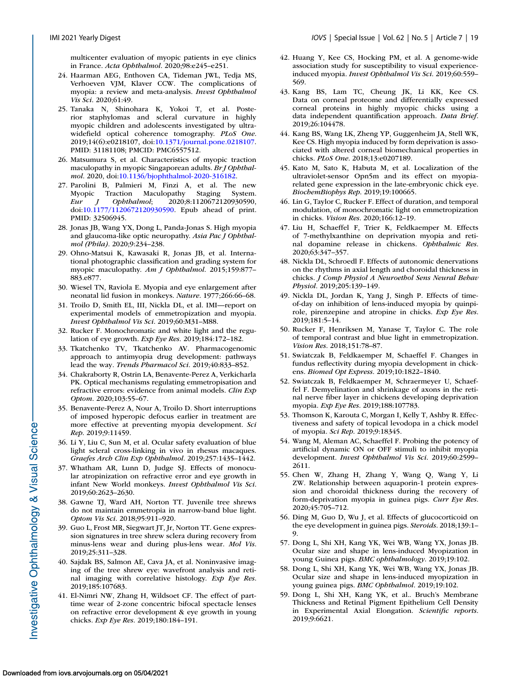<span id="page-18-0"></span>multicenter evaluation of myopic patients in eye clinics in France. *Acta Ophthalmol*. 2020;98:e245–e251.

- 24. Haarman AEG, Enthoven CA, Tideman JWL, Tedja MS, Verhoeven VJM, Klaver CCW. The complications of myopia: a review and meta-analysis. *Invest Ophthalmol Vis Sci*. 2020;61:49.
- 25. Tanaka N, Shinohara K, Yokoi T, et al. Posterior staphylomas and scleral curvature in highly myopic children and adolescents investigated by ultrawidefield optical coherence tomography. *PLoS One*. 2019;14(6):e0218107, doi[:10.1371/journal.pone.0218107.](https://doi.org/10.1371/journal.pone.0218107) PMID: 31181108; PMCID: PMC6557512.
- 26. Matsumura S, et al. Characteristics of myopic traction maculopathy in myopic Singaporean adults. *Br J Ophthalmol*. 2020, doi[:10.1136/bjophthalmol-2020-316182.](https://doi.org/10.1136/bjophthalmol-2020-316182)
- 27. Parolini B, Palmieri M, Finzi A, et al. The new Myopic Traction Maculopathy Staging System.<br>
Eur J Ophthalmol; 2020;8:1120672120930590, *Eur J Ophthalmol*; 2020;8:1120672120930590, doi[:10.1177/1120672120930590.](https://doi.org/10.1177/1120672120930590) Epub ahead of print. PMID: 32506945.
- 28. Jonas JB, Wang YX, Dong L, Panda-Jonas S. High myopia and glaucoma-like optic neuropathy. *Asia Pac J Ophthalmol (Phila)*. 2020;9:234–238.
- 29. Ohno-Matsui K, Kawasaki R, Jonas JB, et al. International photographic classification and grading system for myopic maculopathy. *Am J Ophthalmol*. 2015;159:877– 883.e877.
- 30. Wiesel TN, Raviola E. Myopia and eye enlargement after neonatal lid fusion in monkeys. *Nature*. 1977;266:66–68.
- 31. Troilo D, Smith EL, III, Nickla DL, et al. IMI—report on experimental models of emmetropization and myopia. *Invest Ophthalmol Vis Sci*. 2019;60:M31–M88.
- 32. Rucker F. Monochromatic and white light and the regulation of eye growth. *Exp Eye Res*. 2019;184:172–182.
- 33. Tkatchenko TV, Tkatchenko AV. Pharmacogenomic approach to antimyopia drug development: pathways lead the way. *Trends Pharmacol Sci*. 2019;40:833–852.
- 34. Chakraborty R, Ostrin LA, Benavente-Perez A, Verkicharla PK. Optical mechanisms regulating emmetropisation and refractive errors: evidence from animal models. *Clin Exp Optom*. 2020;103:55–67.
- 35. Benavente-Perez A, Nour A, Troilo D. Short interruptions of imposed hyperopic defocus earlier in treatment are more effective at preventing myopia development. *Sci Rep*. 2019;9:11459.
- 36. Li Y, Liu C, Sun M, et al. Ocular safety evaluation of blue light scleral cross-linking in vivo in rhesus macaques. *Graefes Arch Clin Exp Ophthalmol*. 2019;257:1435–1442.
- 37. Whatham AR, Lunn D, Judge SJ. Effects of monocular atropinization on refractive error and eye growth in infant New World monkeys. *Invest Ophthalmol Vis Sci*. 2019;60:2623–2630.
- 38. Gawne TJ, Ward AH, Norton TT. Juvenile tree shrews do not maintain emmetropia in narrow-band blue light. *Optom Vis Sci*. 2018;95:911–920.
- 39. Guo L, Frost MR, Siegwart JT, Jr, Norton TT. Gene expression signatures in tree shrew sclera during recovery from minus-lens wear and during plus-lens wear. *Mol Vis*. 2019;25:311–328.
- 40. Sajdak BS, Salmon AE, Cava JA, et al. Noninvasive imaging of the tree shrew eye: wavefront analysis and retinal imaging with correlative histology. *Exp Eye Res*. 2019;185:107683.
- 41. El-Nimri NW, Zhang H, Wildsoet CF. The effect of parttime wear of 2-zone concentric bifocal spectacle lenses on refractive error development & eye growth in young chicks. *Exp Eye Res*. 2019;180:184–191.
- 42. Huang Y, Kee CS, Hocking PM, et al. A genome-wide association study for susceptibility to visual experienceinduced myopia. *Invest Ophthalmol Vis Sci*. 2019;60:559– 569.
- 43. Kang BS, Lam TC, Cheung JK, Li KK, Kee CS. Data on corneal proteome and differentially expressed corneal proteins in highly myopic chicks using a data independent quantification approach. *Data Brief*. 2019;26:104478.
- 44. Kang BS, Wang LK, Zheng YP, Guggenheim JA, Stell WK, Kee CS. High myopia induced by form deprivation is associated with altered corneal biomechanical properties in chicks. *PLoS One*. 2018;13:e0207189.
- 45. Kato M, Sato K, Habuta M, et al. Localization of the ultraviolet-sensor Opn5m and its effect on myopiarelated gene expression in the late-embryonic chick eye. *BiochemBiophys Rep*. 2019;19:100665.
- 46. Lin G, Taylor C, Rucker F. Effect of duration, and temporal modulation, of monochromatic light on emmetropization in chicks. *Vision Res*. 2020;166:12–19.
- 47. Liu H, Schaeffel F, Trier K, Feldkaemper M. Effects of 7-methylxanthine on deprivation myopia and retinal dopamine release in chickens. *Ophthalmic Res*. 2020;63:347–357.
- 48. Nickla DL, Schroedl F. Effects of autonomic denervations on the rhythms in axial length and choroidal thickness in chicks. *J Comp Physiol A Neuroethol Sens Neural Behav Physiol*. 2019;205:139–149.
- 49. Nickla DL, Jordan K, Yang J, Singh P. Effects of timeof-day on inhibition of lens-induced myopia by quinpirole, pirenzepine and atropine in chicks. *Exp Eye Res*. 2019;181:5–14.
- 50. Rucker F, Henriksen M, Yanase T, Taylor C. The role of temporal contrast and blue light in emmetropization. *Vision Res*. 2018;151:78–87.
- 51. Swiatczak B, Feldkaemper M, Schaeffel F. Changes in fundus reflectivity during myopia development in chickens. *Biomed Opt Express*. 2019;10:1822–1840.
- 52. Swiatczak B, Feldkaemper M, Schraermeyer U, Schaeffel F. Demyelination and shrinkage of axons in the retinal nerve fiber layer in chickens developing deprivation myopia. *Exp Eye Res*. 2019;188:107783.
- 53. Thomson K, Karouta C, Morgan I, Kelly T, Ashby R. Effectiveness and safety of topical levodopa in a chick model of myopia. *Sci Rep*. 2019;9:18345.
- 54. Wang M, Aleman AC, Schaeffel F. Probing the potency of artificial dynamic ON or OFF stimuli to inhibit myopia development. *Invest Ophthalmol Vis Sci*. 2019;60:2599– 2611.
- 55. Chen W, Zhang H, Zhang Y, Wang Q, Wang Y, Li ZW. Relationship between aquaporin-1 protein expression and choroidal thickness during the recovery of form-deprivation myopia in guinea pigs. *Curr Eye Res*. 2020;45:705–712.
- 56. Ding M, Guo D, Wu J, et al. Effects of glucocorticoid on the eye development in guinea pigs. *Steroids*. 2018;139:1– 9.
- 57. Dong L, Shi XH, Kang YK, Wei WB, Wang YX, Jonas JB. Ocular size and shape in lens-induced Myopization in young Guinea pigs. *BMC ophthalmology*. 2019;19:102.
- 58. Dong L, Shi XH, Kang YK, Wei WB, Wang YX, Jonas JB. Ocular size and shape in lens-induced myopization in young guinea pigs. *BMC Ophthalmol*. 2019;19:102.
- 59. Dong L, Shi XH, Kang YK, et al.. Bruch's Membrane Thickness and Retinal Pigment Epithelium Cell Density in Experimental Axial Elongation. *Scientific reports*. 2019;9:6621.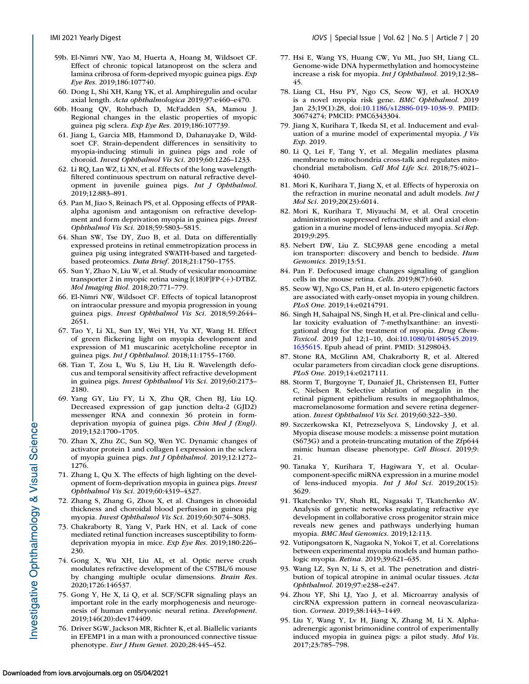- <span id="page-19-0"></span>59b. El-Nimri NW, Yao M, Huerta A, Hoang M, Wildsoet CF. Effect of chronic topical latanoprost on the sclera and lamina cribrosa of form-deprived myopic guinea pigs. *Exp Eye Res*. 2019;186:107740.
- 60. Dong L, Shi XH, Kang YK, et al. Amphiregulin and ocular axial length. *Acta ophthalmologica* 2019;97:e460–e470.
- 60b. Hoang QV, Rohrbach D, McFadden SA, Mamou J. Regional changes in the elastic properties of myopic guinea pig sclera. *Exp Eye Res*. 2019;186:107739.
- 61. Jiang L, Garcia MB, Hammond D, Dahanayake D, Wildsoet CF. Strain-dependent differences in sensitivity to myopia-inducing stimuli in guinea pigs and role of choroid. *Invest Ophthalmol Vis Sci*. 2019;60:1226–1233.
- 62. Li RQ, Lan WZ, Li XN, et al. Effects of the long wavelengthfiltered continuous spectrum on natural refractive development in juvenile guinea pigs. *Int J Ophthalmol*. 2019;12:883–891.
- 63. Pan M, Jiao S, Reinach PS, et al. Opposing effects of PPARalpha agonism and antagonism on refractive development and form deprivation myopia in guinea pigs. *Invest Ophthalmol Vis Sci*. 2018;59:5803–5815.
- 64. Shan SW, Tse DY, Zuo B, et al. Data on differentially expressed proteins in retinal emmetropization process in guinea pig using integrated SWATH-based and targetedbased proteomics. *Data Brief*. 2018;21:1750–1755.
- 65. Sun Y, Zhao N, Liu W, et al. Study of vesicular monoamine transporter 2 in myopic retina using [(18)F]FP-(+)-DTBZ. *Mol Imaging Biol*. 2018;20:771–779.
- 66. El-Nimri NW, Wildsoet CF. Effects of topical latanoprost on intraocular pressure and myopia progression in young guinea pigs. *Invest Ophthalmol Vis Sci*. 2018;59:2644– 2651.
- 67. Tao Y, Li XL, Sun LY, Wei YH, Yu XT, Wang H. Effect of green flickering light on myopia development and expression of M1 muscarinic acetylcholine receptor in guinea pigs. *Int J Ophthalmol*. 2018;11:1755–1760.
- 68. Tian T, Zou L, Wu S, Liu H, Liu R. Wavelength defocus and temporal sensitivity affect refractive development in guinea pigs. *Invest Ophthalmol Vis Sci*. 2019;60:2173– 2180.
- 69. Yang GY, Liu FY, Li X, Zhu QR, Chen BJ, Liu LQ. Decreased expression of gap junction delta-2 (GJD2) messenger RNA and connexin 36 protein in formdeprivation myopia of guinea pigs. *Chin Med J (Engl)*. 2019;132:1700–1705.
- 70. Zhan X, Zhu ZC, Sun SQ, Wen YC. Dynamic changes of activator protein 1 and collagen I expression in the sclera of myopia guinea pigs. *Int J Ophthalmol*. 2019;12:1272– 1276.
- 71. Zhang L, Qu X. The effects of high lighting on the development of form-deprivation myopia in guinea pigs. *Invest Ophthalmol Vis Sci*. 2019;60:4319–4327.
- 72. Zhang S, Zhang G, Zhou X, et al. Changes in choroidal thickness and choroidal blood perfusion in guinea pig myopia. *Invest Ophthalmol Vis Sci*. 2019;60:3074–3083.
- 73. Chakraborty R, Yang V, Park HN, et al. Lack of cone mediated retinal function increases susceptibility to formdeprivation myopia in mice. *Exp Eye Res*. 2019;180:226– 230.
- 74. Gong X, Wu XH, Liu AL, et al. Optic nerve crush modulates refractive development of the C57BL/6 mouse by changing multiple ocular dimensions. *Brain Res*. 2020;1726:146537.
- 75. Gong Y, He X, Li Q, et al. SCF/SCFR signaling plays an important role in the early morphogenesis and neurogenesis of human embryonic neural retina. *Development*. 2019;146(20):dev174409.
- 76. Driver SGW, Jackson MR, Richter K, et al. Biallelic variants in EFEMP1 in a man with a pronounced connective tissue phenotype. *Eur J Hum Genet*. 2020;28:445–452.
- 77. Hsi E, Wang YS, Huang CW, Yu ML, Juo SH, Liang CL. Genome-wide DNA hypermethylation and homocysteine increase a risk for myopia. *Int J Ophthalmol*. 2019;12:38– 45.
- 78. Liang CL, Hsu PY, Ngo CS, Seow WJ, et al. HOXA9 is a novel myopia risk gene. *BMC Ophthalmol*. 2019 Jan 23;19(1):28, doi[:10.1186/s12886-019-1038-9.](https://doi.org/10.1186/s12886-019-1038-9) PMID: 30674274; PMCID: PMC6343304.
- 79. Jiang X, Kurihara T, Ikeda SI, et al. Inducement and evaluation of a murine model of experimental myopia. *J Vis Exp*. 2019.
- 80. Li Q, Lei F, Tang Y, et al. Megalin mediates plasma membrane to mitochondria cross-talk and regulates mitochondrial metabolism. *Cell Mol Life Sci*. 2018;75:4021– 4040.
- 81. Mori K, Kurihara T, Jiang X, et al. Effects of hyperoxia on the refraction in murine neonatal and adult models. *Int J Mol Sci*. 2019;20(23):6014.
- 82. Mori K, Kurihara T, Miyauchi M, et al. Oral crocetin administration suppressed refractive shift and axial elongation in a murine model of lens-induced myopia. *Sci Rep*. 2019;9:295.
- 83. Nebert DW, Liu Z. SLC39A8 gene encoding a metal ion transporter: discovery and bench to bedside. *Hum Genomics*. 2019;13:51.
- 84. Pan F. Defocused image changes signaling of ganglion cells in the mouse retina. *Cells*. 2019;8(7):640.
- 85. Seow WJ, Ngo CS, Pan H, et al. In-utero epigenetic factors are associated with early-onset myopia in young children. *PLoS One*. 2019;14:e0214791.
- 86. Singh H, Sahajpal NS, Singh H, et al. Pre-clinical and cellular toxicity evaluation of 7-methylxanthine: an investigational drug for the treatment of myopia. *Drug Chem-Toxicol*[. 2019 Jul 12;1–10, doi:10.1080/01480545.2019.](https://doi.org/10.1080/01480545.2019.1635615) 1635615. Epub ahead of print. PMID: 31298043.
- 87. Stone RA, McGlinn AM, Chakraborty R, et al. Altered ocular parameters from circadian clock gene disruptions. *PLoS One*. 2019;14:e0217111.
- 88. Storm T, Burgoyne T, Dunaief JL, Christensen EI, Futter C, Nielsen R. Selective ablation of megalin in the retinal pigment epithelium results in megaophthalmos, macromelanosome formation and severe retina degeneration. *Invest Ophthalmol Vis Sci*. 2019;60:322–330.
- 89. Szczerkowska KI, Petrezselyova S, Lindovsky J, et al. Myopia disease mouse models: a missense point mutation (S673G) and a protein-truncating mutation of the Zfp644 mimic human disease phenotype. *Cell Biosci*. 2019;9: 21.
- 90. Tanaka Y, Kurihara T, Hagiwara Y, et al. Ocularcomponent-specific miRNA expression in a murine model of lens-induced myopia. *Int J Mol Sci*. 2019;20(15): 3629.
- 91. Tkatchenko TV, Shah RL, Nagasaki T, Tkatchenko AV. Analysis of genetic networks regulating refractive eye development in collaborative cross progenitor strain mice reveals new genes and pathways underlying human myopia. *BMC Med Genomics*. 2019;12:113.
- 92. Vutipongsatorn K, Nagaoka N, Yokoi T, et al. Correlations between experimental myopia models and human pathologic myopia. *Retina*. 2019;39:621–635.
- 93. Wang LZ, Syn N, Li S, et al. The penetration and distribution of topical atropine in animal ocular tissues. *Acta Ophthalmol*. 2019;97:e238–e247.
- 94. Zhou YF, Shi LJ, Yao J, et al. Microarray analysis of circRNA expression pattern in corneal neovascularization. *Cornea*. 2019;38:1443–1449.
- 95. Liu Y, Wang Y, Lv H, Jiang X, Zhang M, Li X. Alphaadrenergic agonist brimonidine control of experimentally induced myopia in guinea pigs: a pilot study. *Mol Vis*. 2017;23:785–798.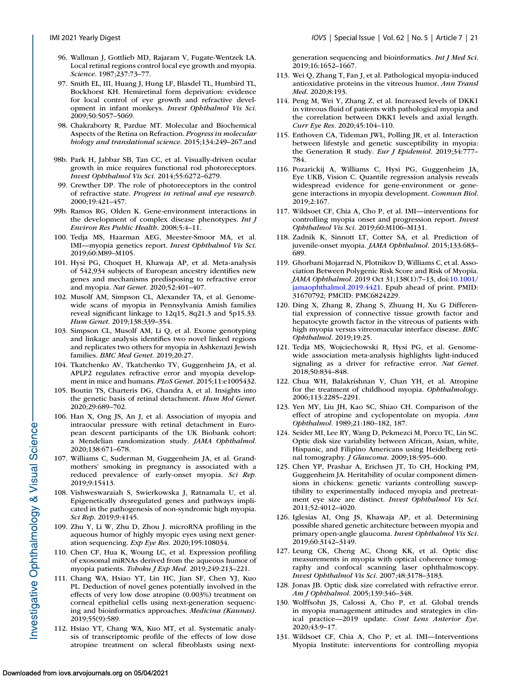- <span id="page-20-0"></span>96. Wallman J, Gottlieb MD, Rajaram V, Fugate-Wentzek LA. Local retinal regions control local eye growth and myopia. *Science*. 1987;237:73–77.
- 97. Smith EL, III, Huang J, Hung LF, Blasdel TL, Humbird TL, Bockhorst KH. Hemiretinal form deprivation: evidence for local control of eye growth and refractive development in infant monkeys. *Invest Ophthalmol Vis Sci*. 2009;50:5057–5069.
- 98. Chakraborty R, Pardue MT. Molecular and Biochemical Aspects of the Retina on Refraction. *Progress in molecular biology and translational science*. 2015;134:249–267.and
- 98b. Park H, Jabbar SB, Tan CC, et al. Visually-driven ocular growth in mice requires functional rod photoreceptors. *Invest Ophthalmol Vis Sci*. 2014;55:6272–6279.
- 99. Crewther DP. The role of photoreceptors in the control of refractive state. *Progress in retinal and eye research*. 2000;19:421–457.
- 99b. Ramos RG, Olden K. Gene-environment interactions in the development of complex disease phenotypes. *Int J Environ Res Public Health*. 2008;5:4–11.
- 100. Tedja MS, Haarman AEG, Meester-Smoor MA, et al. IMI—myopia genetics report. *Invest Ophthalmol Vis Sci*. 2019;60:M89–M105.
- 101. Hysi PG, Choquet H, Khawaja AP, et al. Meta-analysis of 542,934 subjects of European ancestry identifies new genes and mechanisms predisposing to refractive error and myopia. *Nat Genet*. 2020;52:401–407.
- 102. Musolf AM, Simpson CL, Alexander TA, et al. Genomewide scans of myopia in Pennsylvania Amish families reveal significant linkage to 12q15, 8q21.3 and 5p15.33. *Hum Genet*. 2019;138:339–354.
- 103. Simpson CL, Musolf AM, Li Q, et al. Exome genotyping and linkage analysis identifies two novel linked regions and replicates two others for myopia in Ashkenazi Jewish families. *BMC Med Genet*. 2019;20:27.
- 104. Tkatchenko AV, Tkatchenko TV, Guggenheim JA, et al. APLP2 regulates refractive error and myopia development in mice and humans. *PLoS Genet*. 2015;11:e1005432.
- 105. Boutin TS, Charteris DG, Chandra A, et al. Insights into the genetic basis of retinal detachment. *Hum Mol Genet*. 2020;29:689–702.
- 106. Han X, Ong JS, An J, et al. Association of myopia and intraocular pressure with retinal detachment in European descent participants of the UK Biobank cohort: a Mendelian randomization study. *JAMA Ophthalmol*. 2020;138:671–678.
- 107. Williams C, Suderman M, Guggenheim JA, et al. Grandmothers' smoking in pregnancy is associated with a reduced prevalence of early-onset myopia. *Sci Rep*. 2019;9:15413.
- 108. Vishweswaraiah S, Swierkowska J, Ratnamala U, et al. Epigenetically dysregulated genes and pathways implicated in the pathogenesis of non-syndromic high myopia. *Sci Rep*. 2019;9:4145.
- 109. Zhu Y, Li W, Zhu D, Zhou J. microRNA profiling in the aqueous humor of highly myopic eyes using next generation sequencing. *Exp Eye Res*. 2020;195:108034.
- 110. Chen CF, Hua K, Woung LC, et al. Expression profiling of exosomal miRNAs derived from the aqueous humor of myopia patients. *Tohoku J Exp Med*. 2019;249:213–221.
- 111. Chang WA, Hsiao YT, Lin HC, Jian SF, Chen YJ, Kuo PL. Deduction of novel genes potentially involved in the effects of very low dose atropine (0.003%) treatment on corneal epithelial cells using next-generation sequencing and bioinformatics approaches. *Medicina (Kaunas)*. 2019;55(9):589.
- 112. Hsiao YT, Chang WA, Kuo MT, et al. Systematic analysis of transcriptomic profile of the effects of low dose atropine treatment on scleral fibroblasts using next-

generation sequencing and bioinformatics. *Int J Med Sci*. 2019;16:1652–1667.

- 113. Wei Q, Zhang T, Fan J, et al. Pathological myopia-induced antioxidative proteins in the vitreous humor. *Ann Transl Med*. 2020;8:193.
- 114. Peng M, Wei Y, Zhang Z, et al. Increased levels of DKK1 in vitreous fluid of patients with pathological myopia and the correlation between DKK1 levels and axial length. *Curr Eye Res*. 2020;45:104–110.
- 115. Enthoven CA, Tideman JWL, Polling JR, et al. Interaction between lifestyle and genetic susceptibility in myopia: the Generation R study. *Eur J Epidemiol*. 2019;34:777– 784.
- 116. Pozarickij A, Williams C, Hysi PG, Guggenheim JA, Eye UKB, Vision C. Quantile regression analysis reveals widespread evidence for gene-environment or genegene interactions in myopia development. *Commun Biol*. 2019;2:167.
- 117. Wildsoet CF, Chia A, Cho P, et al. IMI—interventions for controlling myopia onset and progression report. *Invest Ophthalmol Vis Sci*. 2019;60:M106–M131.
- 118. Zadnik K, Sinnott LT, Cotter SA, et al. Prediction of juvenile-onset myopia. *JAMA Ophthalmol*. 2015;133:683– 689.
- 119. Ghorbani Mojarrad N, Plotnikov D, Williams C, et al. Association Between Polygenic Risk Score and Risk of Myopia. *JAMA Ophthalmol*. 2019 Oct 31;138(1):7–13, doi:10.1001/ [jamaophthalmol.2019.4421. Epub ahead of print. PMID:](https://doi.org/10.1001/jamaophthalmol.2019.4421) 31670792; PMCID: PMC6824229.
- 120. Ding X, Zhang R, Zhang S, Zhuang H, Xu G Differential expression of connective tissue growth factor and hepatocyte growth factor in the vitreous of patients with high myopia versus vitreomacular interface disease. *BMC Ophthalmol*. 2019;19:25.
- 121. Tedja MS, Wojciechowski R, Hysi PG, et al. Genomewide association meta-analysis highlights light-induced signaling as a driver for refractive error. *Nat Genet*. 2018;50:834–848.
- 122. Chua WH, Balakrishnan V, Chan YH, et al. Atropine for the treatment of childhood myopia. *Ophthalmology*. 2006;113:2285–2291.
- 123. Yen MY, Liu JH, Kao SC, Shiao CH. Comparison of the effect of atropine and cyclopentolate on myopia. *Ann Ophthalmol*. 1989;21:180–182, 187.
- 124. Seider MI, Lee RY, Wang D, Pekmezci M, Porco TC, Lin SC. Optic disk size variability between African, Asian, white, Hispanic, and Filipino Americans using Heidelberg retinal tomography. *J Glaucoma*. 2009;18:595–600.
- 125. Chen YP, Prashar A, Erichsen JT, To CH, Hocking PM, Guggenheim JA. Heritability of ocular component dimensions in chickens: genetic variants controlling susceptibility to experimentally induced myopia and pretreatment eye size are distinct. *Invest Ophthalmol Vis Sci*. 2011;52:4012–4020.
- 126. Iglesias AI, Ong JS, Khawaja AP, et al. Determining possible shared genetic architecture between myopia and primary open-angle glaucoma. *Invest Ophthalmol Vis Sci*. 2019;60:3142–3149.
- 127. Leung CK, Cheng AC, Chong KK, et al. Optic disc measurements in myopia with optical coherence tomography and confocal scanning laser ophthalmoscopy. *Invest Ophthalmol Vis Sci*. 2007;48:3178–3183.
- 128. Jonas JB. Optic disk size correlated with refractive error. *Am J Ophthalmol*. 2005;139:346–348.
- 130. Wolffsohn JS, Calossi A, Cho P, et al. Global trends in myopia management attitudes and strategies in clinical practice—2019 update. *Cont Lens Anterior Eye*. 2020;43:9–17.
- 131. Wildsoet CF, Chia A, Cho P, et al. IMI—Interventions Myopia Institute: interventions for controlling myopia